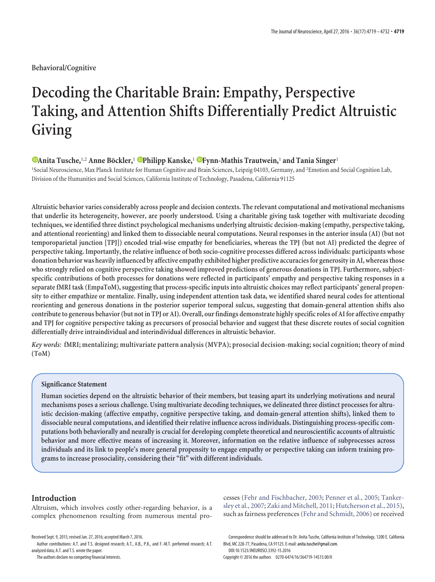## **Behavioral/Cognitive**

# **Decoding the Charitable Brain: Empathy, Perspective Taking, and Attention Shifts Differentially Predict Altruistic Giving**

# **Manita Tusche,**<sup>1,2</sup> **Anne Böckler,<sup>1</sup> •Philipp Kanske,<sup>1</sup> •Fynn-Mathis Trautwein,<sup>1</sup> and Tania Singer<sup>1</sup>**

<sup>1</sup>Social Neuroscience, Max Planck Institute for Human Cognitive and Brain Sciences, Leipzig 04103, Germany, and <sup>2</sup>Emotion and Social Cognition Lab, Division of the Humanities and Social Sciences, California Institute of Technology, Pasadena, California 91125

**Altruistic behavior varies considerably across people and decision contexts. The relevant computational and motivational mechanisms that underlie its heterogeneity, however, are poorly understood. Using a charitable giving task together with multivariate decoding techniques, we identified three distinct psychological mechanisms underlying altruistic decision-making (empathy, perspective taking, and attentional reorienting) and linked them to dissociable neural computations. Neural responses in the anterior insula (AI) (but not temporoparietal junction [TPJ]) encoded trial-wise empathy for beneficiaries, whereas the TPJ (but not AI) predicted the degree of perspective taking. Importantly, the relative influence of both socio-cognitive processes differed across individuals: participants whose donation behavior was heavily influenced by affective empathy exhibited higher predictive accuracies for generosity in AI, whereasthose who strongly relied on cognitive perspective taking showed improved predictions of generous donations in TPJ. Furthermore, subjectspecific contributions of both processes for donations were reflected in participants' empathy and perspective taking responses in a separate fMRI task (EmpaToM), suggesting that process-specific inputs into altruistic choices may reflect participants' general propensity to either empathize or mentalize. Finally, using independent attention task data, we identified shared neural codes for attentional reorienting and generous donations in the posterior superior temporal sulcus, suggesting that domain-general attention shifts also contribute to generous behavior (but not in TPJ or AI). Overall, our findings demonstrate highly specific roles of AI for affective empathy and TPJ for cognitive perspective taking as precursors of prosocial behavior and suggest that these discrete routes of social cognition differentially drive intraindividual and interindividual differences in altruistic behavior.**

*Key words:* **fMRI; mentalizing; multivariate pattern analysis (MVPA); prosocial decision-making; social cognition; theory of mind (ToM)**

## **Significance Statement**

**Human societies depend on the altruistic behavior of their members, but teasing apart its underlying motivations and neural mechanisms poses a serious challenge. Using multivariate decoding techniques, we delineated three distinct processes for altruistic decision-making (affective empathy, cognitive perspective taking, and domain-general attention shifts), linked them to dissociable neural computations, and identified their relative influence across individuals. Distinguishing process-specific computations both behaviorally and neurally is crucial for developing complete theoretical and neuroscientific accounts of altruistic behavior and more effective means of increasing it. Moreover, information on the relative influence of subprocesses across individuals and its link to people's more general propensity to engage empathy or perspective taking can inform training programs to increase prosociality, considering their "fit" with different individuals.**

# **Introduction**

Altruism, which involves costly other-regarding behavior, is a complex phenomenon resulting from numerous mental pro-

Author contributions: A.T. and T.S. designed research; A.T., A.B., P.K., and F.-M.T. performed research; A.T. analyzed data; A.T. and T.S. wrote the paper.

The authors declare no competing financial interests.

Received Sept. 9, 2015; revised Jan. 27, 2016; accepted March 7, 2016.

cesses [\(Fehr and Fischbacher, 2003;](#page-12-0) [Penner et al., 2005;](#page-13-0) [Tanker](#page-13-1)[sley et al., 2007;](#page-13-1) [Zaki and Mitchell, 2011;](#page-13-2) [Hutcherson et al., 2015\)](#page-12-1), such as fairness preferences [\(Fehr and Schmidt, 2006\)](#page-12-2) or received

Correspondence should be addressed to Dr. Anita Tusche, California Institute of Technology, 1200 E. California Blvd, MC 228-77, Pasadena, CA 91125. E-mail:anita.tusche@gmail.com.

DOI:10.1523/JNEUROSCI.3392-15.2016 Copyright © 2016 the authors 0270-6474/16/364719-14\$15.00/0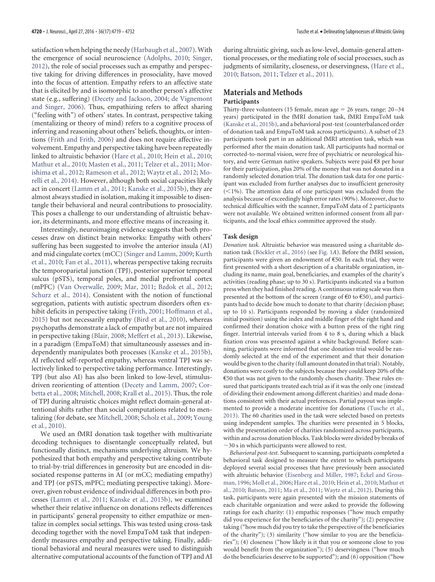satisfaction when helping the needy [\(Harbaugh et al., 2007\)](#page-12-3). With the emergence of social neuroscience [\(Adolphs, 2010;](#page-12-4) [Singer,](#page-13-3) [2012\)](#page-13-3), the role of social processes such as empathy and perspective taking for driving differences in prosociality, have moved into the focus of attention. Empathy refers to an affective state that is elicited by and is isomorphic to another person's affective state (e.g., suffering) [\(Decety and Jackson, 2004;](#page-12-5) [de Vignemont](#page-12-6) [and Singer, 2006\)](#page-12-6). Thus, empathizing refers to affect sharing ("feeling with") of others' states. In contrast, perspective taking (mentalizing or theory of mind) refers to a cognitive process of inferring and reasoning about others' beliefs, thoughts, or intentions [\(Frith and Frith, 2006\)](#page-12-7) and does not require affective involvement. Empathy and perspective taking have been repeatedly linked to altruistic behavior [\(Hare et al., 2010;](#page-12-8) [Hein et al., 2010;](#page-12-9) [Mathur et al., 2010;](#page-13-4) [Masten et al., 2011;](#page-13-5) [Telzer et al., 2011;](#page-13-6) [Mor](#page-13-7)[ishima et al., 2012;](#page-13-7) [Rameson et al., 2012;](#page-13-8) [Waytz et al., 2012;](#page-13-9) [Mo](#page-13-10)[relli et al., 2014\)](#page-13-10). However, although both social capacities likely act in concert [\(Lamm et al., 2011;](#page-13-11) [Kanske et al., 2015b\)](#page-13-12), they are almost always studied in isolation, making it impossible to disentangle their behavioral and neural contributions to prosociality. This poses a challenge to our understanding of altruistic behavior, its determinants, and more effective means of increasing it.

Interestingly, neuroimaging evidence suggests that both processes draw on distinct brain networks: Empathy with others' suffering has been suggested to involve the anterior insula (AI) and mid cingulate cortex (mCC) [\(Singer and Lamm, 2009;](#page-13-13) [Kurth](#page-13-14) [et al., 2010;](#page-13-14) [Fan et al., 2011\)](#page-12-10), whereas perspective taking recruits the temporoparietal junction (TPJ), posterior superior temporal sulcus (pSTS), temporal poles, and medial prefrontal cortex (mPFC) [\(Van Overwalle, 2009;](#page-13-15) [Mar, 2011;](#page-13-16) [Bzdok et al., 2012;](#page-12-11) [Schurz et al., 2014\)](#page-13-17). Consistent with the notion of functional segregation, patients with autistic spectrum disorders often exhibit deficits in perspective taking [\(Frith, 2001;](#page-12-12) [Hoffmann et al.,](#page-12-13) [2015\)](#page-12-13) but not necessarily empathy [\(Bird et al., 2010\)](#page-12-14), whereas psychopaths demonstrate a lack of empathy but are not impaired in perspective taking [\(Blair, 2008;](#page-12-15) [Meffert et al., 2013\)](#page-13-18). Likewise, in a paradigm (EmpaToM) that simultaneously assesses and independently manipulates both processes [\(Kanske et al., 2015b\)](#page-13-12), AI reflected self-reported empathy, whereas ventral TPJ was selectively linked to perspective taking performance. Interestingly, TPJ (but also AI) has also been linked to low-level, stimulusdriven reorienting of attention [\(Decety and Lamm, 2007;](#page-12-16) [Cor](#page-12-17)[betta et al., 2008;](#page-12-17) [Mitchell, 2008;](#page-13-19) [Krall et al., 2015\)](#page-13-20). Thus, the role of TPJ during altruistic choices might reflect domain-general attentional shifts rather than social computations related to mentalizing (for debate, see [Mitchell, 2008;](#page-13-19) [Scholz et al., 2009;](#page-13-21) [Young](#page-13-22) [et al., 2010\)](#page-13-22).

We used an fMRI donation task together with multivariate decoding techniques to disentangle conceptually related, but functionally distinct, mechanisms underlying altruism. We hypothesized that both empathy and perspective taking contribute to trial-by-trial differences in generosity but are encoded in dissociated response patterns in AI (or mCC; mediating empathy) and TPJ (or pSTS, mPFC; mediating perspective taking). Moreover, given robust evidence of individual differences in both processes [\(Lamm et al., 2011;](#page-13-11) [Kanske et al., 2015b\)](#page-13-12), we examined whether their relative influence on donations reflects differences in participants' general propensity to either empathize or mentalize in complex social settings. This was tested using cross-task decoding together with the novel EmpaToM task that independently measures empathy and perspective taking. Finally, additional behavioral and neural measures were used to distinguish alternative computational accounts of the function of TPJ and AI

during altruistic giving, such as low-level, domain-general attentional processes, or the mediating role of social processes, such as judgments of similarity, closeness, or deservingness, [\(Hare et al.,](#page-12-8) [2010;](#page-12-8) [Batson, 2011;](#page-12-18) [Telzer et al., 2011\)](#page-13-6).

# **Materials and Methods Participants**

Thirty-three volunteers (15 female, mean age  $= 26$  years, range:  $20-34$ years) participated in the fMRI donation task, fMRI EmpaToM task [\(Kanske et al., 2015b\)](#page-13-12), and a behavioral post-test (counterbalanced order of donation task and EmpaToM task across participants). A subset of 23 participants took part in an additional fMRI attention task, which was performed after the main donation task. All participants had normal or corrected-to-normal vision, were free of psychiatric or neurological history, and were German native speakers. Subjects were paid €8 per hour for their participation, plus 20% of the money that was not donated in a randomly selected donation trial. The donation task data for one participant was excluded from further analyses due to insufficient generosity  $(<1%$ ). The attention data of one participant was excluded from the analysis because of exceedingly high error rates (90%). Moreover, due to technical difficulties with the scanner, EmpaToM data of 2 participants were not available. We obtained written informed consent from all participants, and the local ethics committee approved the study.

#### **Task design**

*Donation task.* Altruistic behavior was measured using a charitable donation task [\(Böckler et al., 2016\)](#page-12-19) (see [Fig. 1](#page-5-0)*A*). Before the fMRI session, participants were given an endowment of €50. In each trial, they were first presented with a short description of a charitable organization, including its name, main goal, beneficiaries, and examples of the charity's activities (reading phase; up to 30 s). Participants indicated via a button press when they had finished reading. A continuous rating scale was then presented at the bottom of the screen (range of  $\epsilon$ 0 to  $\epsilon$ 50), and participants had to decide how much to donate to that charity (decision phase; up to 10 s). Participants responded by moving a slider (randomized initial position) using the index and middle finger of the right hand and confirmed their donation choice with a button press of the right ring finger. Intertrial intervals varied from 4 to 8 s, during which a black fixation cross was presented against a white background. Before scanning, participants were informed that one donation trial would be randomly selected at the end of the experiment and that their donation would be given to the charity (full amount donated in that trial). Notably, donations were costly to the subjects because they could keep 20% of the €50 that was not given to the randomly chosen charity. These rules ensured that participants treated each trial as if it was the only one (instead of dividing their endowment among different charities) and made donations consistent with their actual preferences. Partial payout was implemented to provide a moderate incentive for donations [\(Tusche et al.,](#page-13-23) [2013\)](#page-13-23). The 60 charities used in the task were selected based on pretests using independent samples. The charities were presented in 5 blocks, with the presentation order of charities randomized across participants, within and across donation blocks. Task blocks were divided by breaks of  $\sim$ 30 s in which participants were allowed to rest.

*Behavioral post-test.* Subsequent to scanning, participants completed a behavioral task designed to measure the extent to which participants deployed several social processes that have previously been associated with altruistic behavior [\(Eisenberg and Miller, 1987;](#page-12-20) [Eckel and Gross](#page-12-21)[man, 1996;](#page-12-21) [Moll et al., 2006;](#page-13-24) [Hare et al., 2010;](#page-12-8) [Hein et al., 2010;](#page-12-9) [Mathur et](#page-13-4) [al., 2010;](#page-13-4) [Batson, 2011;](#page-12-18) [Ma et al., 2011;](#page-13-25) [Waytz et al., 2012\)](#page-13-9). During this task, participants were again presented with the mission statements of each charitable organization and were asked to provide the following ratings for each charity: (1) empathic responses ("how much empathy did you experience for the beneficiaries of the charity"); (2) perspective taking ("how much did you try to take the perspective of the beneficiaries of the charity"); (3) similarity ("how similar to you are the beneficiaries"); (4) closeness ("how likely is it that you or someone close to you would benefit from the organization"); (5) deservingness ("how much do the beneficiaries deserve to be supported"); and (6) opposition ("how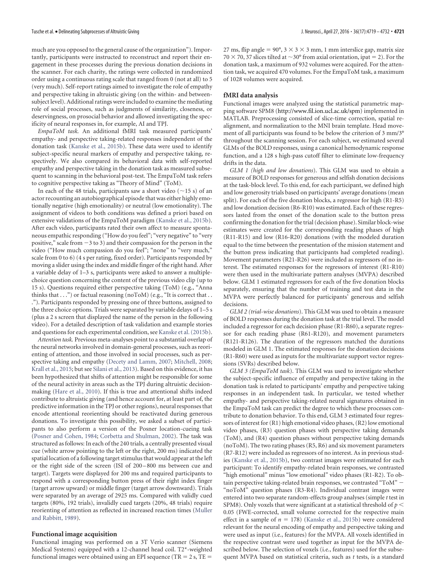much are you opposed to the general cause of the organization"). Importantly, participants were instructed to reconstruct and report their engagement in these processes during the previous donation decisions in the scanner. For each charity, the ratings were collected in randomized order using a continuous rating scale that ranged from 0 (not at all) to 5 (very much). Self-report ratings aimed to investigate the role of empathy and perspective taking in altruistic giving (on the within- and betweensubject level). Additional ratings were included to examine the mediating role of social processes, such as judgments of similarity, closeness, or deservingness, on prosocial behavior and allowed investigating the specificity of neural responses in, for example, AI and TPJ.

*EmpaToM task.* An additional fMRI task measured participants' empathy- and perspective taking-related responses independent of the donation task [\(Kanske et al., 2015b\)](#page-13-12). These data were used to identify subject-specific neural markers of empathy and perspective taking, respectively. We also compared its behavioral data with self-reported empathy and perspective taking in the donation task as measured subsequent to scanning in the behavioral post-test. The EmpaToM task refers to cognitive perspective taking as "Theory of Mind" (ToM).

In each of the 48 trials, participants saw a short video  $($   $\sim$  15 s) of an actor recounting an autobiographical episode that was either highly emotionally negative (high emotionality) or neutral (low emotionality). The assignment of videos to both conditions was defined a priori based on extensive validations of the EmpaToM paradigm [\(Kanske et al., 2015b\)](#page-13-12). After each video, participants rated their own affect to measure spontaneous empathic responding ("How do you feel"; "very negative" to "very positive," scale from  $-3$  to 3) and their compassion for the person in the video ("How much compassion do you feel"; "none" to "very much," scale from 0 to 6) (4 s per rating, fixed order). Participants responded by moving a slider using the index and middle finger of the right hand. After a variable delay of 1–3 s, participants were asked to answer a multiplechoice question concerning the content of the previous video clip (up to 15 s). Questions required either perspective taking (ToM) (e.g., "Anna thinks that . . .") or factual reasoning (noToM) (e.g., "It is correct that . . ."). Participants responded by pressing one of three buttons, assigned to the three choice options. Trials were separated by variable delays of 1–5 s (plus a 2 s screen that displayed the name of the person in the following video). For a detailed description of task validation and example stories and questions for each experimental condition, see [Kanske et al. \(2015b\)](#page-13-12).

*Attention task.* Previous meta-analyses point to a substantial overlap of the neural networks involved in domain-general processes, such as reorienting of attention, and those involved in social processes, such as perspective taking and empathy [\(Decety and Lamm, 2007;](#page-12-16) [Mitchell, 2008;](#page-13-19) [Krall et al., 2015;](#page-13-20) but see [Silani et al., 2013\)](#page-13-26). Based on this evidence, it has been hypothesized that shifts of attention might be responsible for some of the neural activity in areas such as the TPJ during altruistic decisionmaking [\(Hare et al., 2010\)](#page-12-8). If this is true and attentional shifts indeed contribute to altruistic giving (and hence account for, at least part of, the predictive information in the TPJ or other regions), neural responses that encode attentional reorienting should be reactivated during generous donations. To investigate this possibility, we asked a subset of participants to also perform a version of the Posner location-cueing task [\(Posner and Cohen, 1984;](#page-13-27) [Corbetta and Shulman, 2002\)](#page-12-22). The task was structured as follows: In each of the 240 trials, a centrally presented visual cue (white arrow pointing to the left or the right, 200 ms) indicated the spatial location of a following target stimulus that would appear at the left or the right side of the screen (ISI of 200-800 ms between cue and target). Targets were displayed for 200 ms and required participants to respond with a corresponding button press of their right index finger (target arrow upward) or middle finger (target arrow downward). Trials were separated by an average of 2925 ms. Compared with validly cued targets (80%, 192 trials), invalidly cued targets (20%, 48 trials) require reorienting of attention as reflected in increased reaction times [\(Muller](#page-13-28) [and Rabbitt, 1989\)](#page-13-28).

#### **Functional image acquisition**

Functional imaging was performed on a 3T Verio scanner (Siemens Medical Systems) equipped with a 12-channel head coil. T2\*-weighted functional images were obtained using an EPI sequence (TR  $=$  2 s, TE  $=$ 

27 ms, flip angle =  $90^{\circ}$ , 3  $\times$  3  $\times$  3 mm, 1 mm interslice gap, matrix size  $70 \times 70$ , 37 slices tilted at  $\sim$ 30° from axial orientation, ipat = 2). For the donation task, a maximum of 932 volumes were acquired. For the attention task, we acquired 470 volumes. For the EmpaToM task, a maximum of 1028 volumes were acquired.

#### **fMRI data analysis**

Functional images were analyzed using the statistical parametric mapping software SPM8 (http://www.fil.ion.ucl.ac.uk/spm) implemented in MATLAB. Preprocessing consisted of slice-time correction, spatial realignment, and normalization to the MNI brain template. Head movement of all participants was found to be below the criterion of 3 mm/3° throughout the scanning session. For each subject, we estimated several GLMs of the BOLD responses, using a canonical hemodynamic response function, and a 128 s high-pass cutoff filter to eliminate low-frequency drifts in the data.

*GLM 1 (high and low donations*). This GLM was used to obtain a measure of BOLD responses for generous and selfish donation decisions at the task-block level. To this end, for each participant, we defined high and low generosity trials based on participants' average donations (mean split). For each of the five donation blocks, a regressor for high (R1-R5) and low donation decision (R6-R10) was estimated. Each of these regressors lasted from the onset of the donation scale to the button press confirming the donation for the trial (decision phase). Similar block-wise estimates were created for the corresponding reading phases of high (R11-R15) and low (R16-R20) donations (with the modeled duration equal to the time between the presentation of the mission statement and the button press indicating that participants had completed reading). Movement parameters (R21-R26) were included as regressors of no interest. The estimated responses for the regressors of interest (R1-R10) were then used in the multivariate pattern analyses (MVPA) described below. GLM 1 estimated regressors for each of the five donation blocks separately, ensuring that the number of training and test data in the MVPA were perfectly balanced for participants' generous and selfish decisions.

*GLM 2 (trial-wise donations*). This GLM was used to obtain a measure of BOLD responses during the donation task at the trial level. The model included a regressor for each decision phase (R1-R60), a separate regressor for each reading phase (R61-R120), and movement parameters (R121-R126). The duration of the regressors matched the durations modeled in GLM 1. The estimated responses for the donation decisions (R1-R60) were used as inputs for the multivariate support vector regressions (SVRs) described below.

*GLM 3 (EmpaToM task*). This GLM was used to investigate whether the subject-specific influence of empathy and perspective taking in the donation task is related to participants' empathy and perspective taking responses in an independent task. In particular, we tested whether empathy- and perspective taking-related neural signatures obtained in the EmpaToM task can predict the degree to which these processes contribute to donation behavior. To this end, GLM 3 estimated four regressors of interest for (R1) high emotional video phases, (R2) low emotional video phases, (R3) question phases with perspective taking demands (ToM), and (R4) question phases without perspective taking demands (noToM). The two rating phases (R5, R6) and six movement parameters (R7-R12) were included as regressors of no interest. As in previous studies [\(Kanske et al., 2015b\)](#page-13-12), two contrast images were estimated for each participant: To identify empathy-related brain responses, we contrasted "high emotional" minus "low emotional" video phases (R1-R2). To obtain perspective taking-related brain responses, we contrasted "ToM" "noToM" question phases (R3-R4). Individual contrast images were entered into two separate random-effects group analyses (simple *t* test in SPM8). Only voxels that were significant at a statistical threshold of *p* 0.05 (FWE-corrected, small volume corrected for the respective main effect in a sample of  $n = 178$ ) [\(Kanske et al., 2015b\)](#page-13-12) were considered relevant for the neural encoding of empathy and perspective taking and were used as input (i.e., features) for the MVPA. All voxels identified in the respective contrast were used together as input for the MVPA described below. The selection of voxels (i.e., features) used for the subsequent MVPA based on statistical criteria, such as *t* tests, is a standard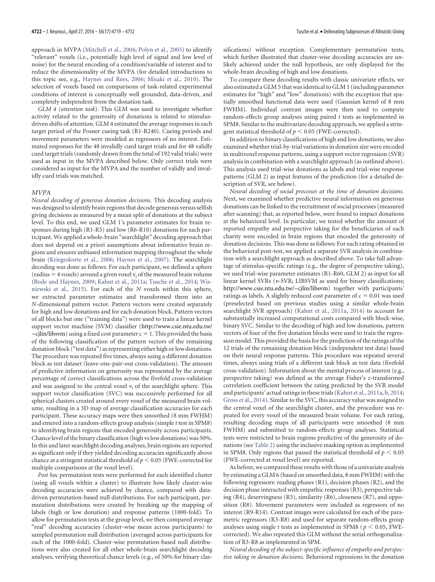approach in MVPA [\(Mitchell et al., 2004;](#page-13-29) [Polyn et al., 2005\)](#page-13-30) to identify "relevant" voxels (i.e., potentially high level of signal and low level of noise) for the neural encoding of a condition/variable of interest and to reduce the dimensionality of the MVPA (for detailed introductions to this topic see, e.g., [Haynes and Rees, 2006;](#page-12-23) [Misaki et al., 2010\)](#page-13-31). The selection of voxels based on comparisons of task-related experimental conditions of interest is conceptually well grounded, data-driven, and completely independent from the donation task.

*GLM 4 (attention task*). This GLM was used to investigate whether activity related to the generosity of donations is related to stimulusdriven shifts of attention. GLM 4 estimated the average responses in each target period of the Posner cueing task (R1-R240). Cueing periods and movement parameters were modeled as regressors of no interest. Estimated responses for the 48 invalidly cued target trials and for 48 validly cued target trials (randomly drawn from the total of 192 valid trials) were used as input in the MVPA described below. Only correct trials were considered as input for the MVPA and the number of validly and invalidly cued trials was matched.

#### *MVPA*

*Neural decoding of generous donation decisions.* This decoding analysis was designed to identify brain regions that decode generous versus selfish giving decisions as measured by a mean split of donations at the subject level. To this end, we used GLM 1's parameter estimates for brain responses during high (R1-R5) and low (R6-R10) donations for each participant. We applied a whole-brain "searchlight" decoding approach that does not depend on a priori assumptions about informative brain regions and ensures unbiased information mapping throughout the whole brain [\(Kriegeskorte et al., 2006;](#page-13-32) [Haynes et al., 2007\)](#page-12-24). The searchlight decoding was done as follows: For each participant, we defined a sphere (radius =  $4$  voxels) around a given voxel  $v_i$  of the measured brain volume [\(Bode and Haynes, 2009;](#page-12-25) [Kahnt et al., 2011a;](#page-12-26) [Tusche et al., 2014;](#page-13-33) [Wis](#page-13-34)[niewski et al., 2015\)](#page-13-34). For each of the *N* voxels within this sphere, we extracted parameter estimates and transformed them into an *N*-dimensional pattern vector. Pattern vectors were created separately for high and low donations and for each donation block. Pattern vectors of all blocks but one ("training data") were used to train a linear kernel support vector machine (SVM) classifier (http://www.csie.ntu.edu.tw/  $\sim$ cjlin/libsvm) using a fixed cost parameter c = 1. This provided the basis of the following classification of the pattern vectors of the remaining donation block ("test data") as representing either high or low donations. The procedure was repeated five times, always using a different donation block as test dataset (leave-one-pair-out cross-validation). The amount of predictive information on generosity was represented by the average percentage of correct classifications across the fivefold cross-validation and was assigned to the central voxel  $v_i$  of the searchlight sphere. This support vector classification (SVC) was successively performed for all spherical clusters created around every voxel of the measured brain volume, resulting in a 3D map of average classification accuracies for each participant. These accuracy maps were then smoothed (8 mm FWHM) and entered into a random-effects group analysis (simple *t* test in SPM8) to identifying brain regions that encoded generosity across participants. Chance level of the binary classification (high vs low donations) was 50%. In this and later searchlight decoding analyses, brain regions are reported as significant only if they yielded decoding accuracies significantly above chance at a stringent statistical threshold of  $p$   $\leq$  0.05 (FWE-corrected for multiple comparisons at the voxel level).

*Post hoc* permutation tests were performed for each identified cluster (using all voxels within a cluster) to illustrate how likely cluster-wise decoding accuracies were achieved by chance, compared with datadriven permutation-based null distributions. For each participant, permutation distributions were created by breaking up the mapping of labels (high or low donation) and response patterns (1000-fold). To allow for permutation tests at the group level, we then compared average "real" decoding accuracies (cluster-wise mean across participants) to sampled permutation null distribution (averaged across participants for each of the 1000-fold). Cluster-wise permutation-based null distributions were also created for all other whole-brain searchlight decoding analyses, verifying theoretical chance levels (e.g., of 50% for binary classifications) without exception. Complementary permutation tests, which further illustrated that cluster-wise decoding accuracies are unlikely achieved under the null hypothesis, are only displayed for the whole-brain decoding of high and low donations.

To compare these decoding results with classic univariate effects, we also estimated a GLM 5 that was identical to GLM 1 (including parameter estimates for "high" and "low" donations) with the exception that spatially smoothed functional data were used (Gaussian kernel of 8 mm FWHM). Individual contrast images were then used to compute random-effects group analyses using paired *t* tests as implemented in SPM8. Similar to the multivariate decoding approach, we applied a stringent statistical threshold of  $p < 0.05$  (FWE-corrected).

In addition to binary classifications of high and low donations, we also examined whether trial-by-trial variations in donation size were encoded in multivoxel response patterns, using a support vector regression (SVR) analysis in combination with a searchlight approach (as outlined above). This analysis used trial-wise donations as labels and trial-wise response patterns (GLM 2) as input features of the prediction (for a detailed description of SVR, see below).

*Neural decoding of social processes at the time of donation decisions.* Next, we examined whether predictive neural information on generous donations can be linked to the recruitment of social processes (measured after scanning) that, as reported below, were found to impact donations at the behavioral level. In particular, we tested whether the amount of reported empathy and perspective taking for the beneficiaries of each charity were encoded in brain regions that encoded the generosity of donation decisions. This was done as follows: For each rating obtained in the behavioral post-test, we applied a separate SVR analysis in combination with a searchlight approach as described above. To take full advantage of stimulus-specific ratings (e.g., the degree of perspective taking), we used trial-wise parameter estimates (R1-R60, GLM 2) as input for all linear kernel SVRs (v-SVR; LIBSVM as used for binary classifications; http://www.csie.ntu.edu.tw/~cjlin/libsvm) together with participants' ratings as labels. A slightly reduced cost parameter of  $c = 0.01$  was used (preselected based on previous studies using a similar whole-brain searchlight SVR approach) [\(Kahnt et al., 2011a,](#page-12-26) [2014\)](#page-13-35) to account for substantially increased computational costs compared with block-wise, binary SVC. Similar to the decoding of high and low donations, pattern vectors of four of the five donation blocks were used to train the regression model. This provided the basis for the prediction of the ratings of the 12 trials of the remaining donation block (independent test data) based on their neural response patterns. This procedure was repeated several times, always using trials of a different task block as test data (fivefold cross-validation). Information about the mental process of interest (e.g., perspective taking) was defined as the average Fisher's *z*-transformed correlation coefficient between the rating predicted by the SVR model and participants' actual ratings in these trials [\(Kahnt et al., 2011a,](#page-12-26) [b,](#page-12-27) [2014;](#page-13-35) [Gross et al., 2014\)](#page-12-28). Similar to the SVC, this accuracy value was assigned to the central voxel of the searchlight cluster, and the procedure was repeated for every voxel of the measured brain volume. For each rating, resulting decoding maps of all participants were smoothed (8 mm FWHM) and submitted to random-effects group analyses. Statistical tests were restricted to brain regions predictive of the generosity of donations (see [Table 2\)](#page-7-0) using the inclusive masking option as implemented in SPM8. Only regions that passed the statistical threshold of  $p < 0.05$ (FWE-corrected at voxel level) are reported.

As before, we compared these results with those of a univariate analysis by estimating a GLM 6 (based on smoothed data, 8 mm FWHM) with the following regressors: reading phases (R1), decision phases (R2), and the decision phase interacted with empathic responses (R3), perspective taking (R4), deservingness (R5), similarity (R6), closeness (R7), and opposition (R8). Movement parameters were included as regressors of no interest (R9-R14). Contrast images were calculated for each of the parametric regressors (R3-R8) and used for separate random-effects group analyses using single *t* tests as implemented in SPM8 ( $p < 0.05$ , FWEcorrected). We also repeated this GLM without the serial orthogonalization of R3-R8 as implemented in SPM.

*Neural decoding of the subject-specific influence of empathy and perspective taking in donation decisions.* Behavioral regressions in the donation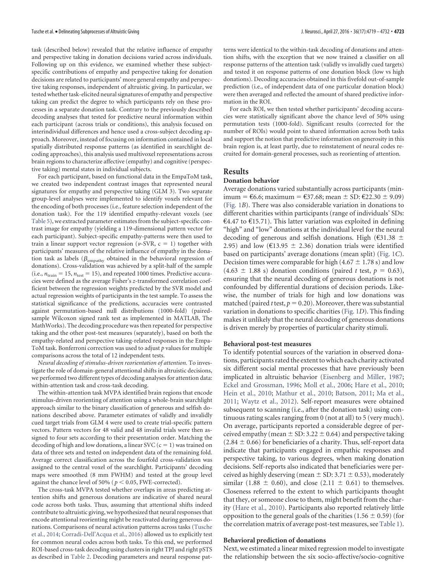task (described below) revealed that the relative influence of empathy and perspective taking in donation decisions varied across individuals. Following up on this evidence, we examined whether these subjectspecific contributions of empathy and perspective taking for donation decisions are related to participants' more general empathy and perspective taking responses, independent of altruistic giving. In particular, we tested whether task-elicited neural signatures of empathy and perspective taking can predict the degree to which participants rely on these processes in a separate donation task. Contrary to the previously described decoding analyses that tested for predictive neural information within each participant (across trials or conditions), this analysis focused on interindividual differences and hence used a cross-subject decoding approach. Moreover, instead of focusing on information contained in local spatially distributed response patterns (as identified in searchlight decoding approaches), this analysis used multivoxel representations across brain regions to characterize affective (empathy) and cognitive (perspective taking) mental states in individual subjects.

For each participant, based on functional data in the EmpaToM task, we created two independent contrast images that represented neural signatures for empathy and perspective taking (GLM 3). Two separate group-level analyses were implemented to identify voxels relevant for the encoding of both processes (i.e., feature selection independent of the donation task). For the 119 identified empathy-relevant voxels (see [Table 5\)](#page-9-0), we extracted parameter estimates from the subject-specific contrast image for empathy (yielding a 119-dimensional pattern vector for each participant). Subject-specific empathy-patterns were then used to train a linear support vector regression ( $\nu$ -SVR,  $c = 1$ ) together with participants' measures of the relative influence of empathy in the donation task as labels ( $\beta_{\text{empathy}}$  obtained in the behavioral regression of donations). Cross-validation was achieved by a split-half of the sample  $(i.e., n_{\text{train}} = 15, n_{\text{test}} = 15)$ , and repeated 1000 times. Predictive accuracies were defined as the average Fisher's *z*-transformed correlation coefficient between the regression weights predicted by the SVR model and actual regression weights of participants in the test sample. To assess the statistical significance of the predictions, accuracies were contrasted against permutation-based null distributions (1000-fold) (pairedsample Wilcoxon signed rank test as implemented in MATLAB, The MathWorks). The decoding procedure was then repeated for perspective taking and the other post-test measures (separately), based on both the empathy-related and perspective taking-related responses in the Empa-ToM task. Bonferroni correction was used to adjust *p* values for multiple comparisons across the total of 12 independent tests.

*Neural decoding of stimulus-driven reorientation of attention.* To investigate the role of domain-general attentional shifts in altruistic decisions, we performed two different types of decoding analyses for attention data: within-attention task and cross-task decoding.

The within-attention task MVPA identified brain regions that encode stimulus-driven reorienting of attention using a whole-brain searchlight approach similar to the binary classification of generous and selfish donations described above. Parameter estimates of validly and invalidly cued target trials from GLM 4 were used to create trial-specific pattern vectors. Pattern vectors for 48 valid and 48 invalid trials were then assigned to four sets according to their presentation order. Matching the decoding of high and low donations, a linear SVC  $(c = 1)$  was trained on data of three sets and tested on independent data of the remaining fold. Average correct classification across the fourfold cross-validation was assigned to the central voxel of the searchlight. Participants' decoding maps were smoothed (8 mm FWHM) and tested at the group level against the chance level of 50% ( $p < 0.05$ , FWE-corrected).

The cross-task MVPA tested whether overlaps in areas predicting attention shifts and generous donations are indicative of shared neural code across both tasks. Thus, assuming that attentional shifts indeed contribute to altruistic giving, we hypothesized that neural responses that encode attentional reorienting might be reactivated during generous donations. Comparisons of neural activation patterns across tasks [\(Tusche](#page-13-33) [et al., 2014;](#page-13-33) [Corradi-Dell'Acqua et al., 2016\)](#page-12-29) allowed us to explicitly test for common neural codes across both tasks. To this end, we performed ROI-based cross-task decoding using clusters in right TPJ and right pSTS as described in [Table 2.](#page-7-0) Decoding parameters and neural response patterns were identical to the within-task decoding of donations and attention shifts, with the exception that we now trained a classifier on all response patterns of the attention task (validly vs invalidly cued targets) and tested it on response patterns of one donation block (low vs high donations). Decoding accuracies obtained in this fivefold out-of-sample prediction (i.e., of independent data of one particular donation block) were then averaged and reflected the amount of shared predictive information in the ROI.

For each ROI, we then tested whether participants' decoding accuracies were statistically significant above the chance level of 50% using permutation tests (1000-fold). Significant results (corrected for the number of ROIs) would point to shared information across both tasks and support the notion that predictive information on generosity in this brain region is, at least partly, due to reinstatement of neural codes recruited for domain-general processes, such as reorienting of attention.

#### **Results**

## **Donation behavior**

Average donations varied substantially across participants (minimum = €6.6; maximum = €37.68; mean ± SD: €22.30 ± 9.09) [\(Fig. 1](#page-5-0)*B*). There was also considerable variation in donations to different charities within participants (range of individuals' SDs: €4.47 to €15.71). This latter variation was exploited in defining "high" and "low" donations at the individual level for the neural decoding of generous and selfish donations. High (€31.38  $\pm$ 2.95) and low ( $\text{\textsterling}13.95 \pm 2.36$ ) donation trials were identified based on participants' average donations (mean split) [\(Fig. 1](#page-5-0)*C*). Decision times were comparable for high (4.67  $\pm$  1.78 s) and low  $(4.63 \pm 1.88 \text{ s})$  donation conditions (paired *t* test,  $p = 0.63$ ), ensuring that the neural decoding of generous donations is not confounded by differential durations of decision periods. Likewise, the number of trials for high and low donations was matched (paired *t* test,  $p = 0.20$ ). Moreover, there was substantial variation in donations to specific charities [\(Fig. 1](#page-5-0)*D*). This finding makes it unlikely that the neural decoding of generous donations is driven merely by properties of particular charity stimuli.

#### **Behavioral post-test measures**

To identify potential sources of the variation in observed donations, participants rated the extent to which each charity activated six different social mental processes that have previously been implicated in altruistic behavior [\(Eisenberg and Miller, 1987;](#page-12-20) [Eckel and Grossman, 1996;](#page-12-21) [Moll et al., 2006;](#page-13-24) [Hare et al., 2010;](#page-12-8) [Hein et al., 2010;](#page-12-9) [Mathur et al., 2010;](#page-13-4) [Batson, 2011;](#page-12-18) [Ma et al.,](#page-13-25) [2011;](#page-13-25) [Waytz et al., 2012\)](#page-13-9). Self-report measures were obtained subsequent to scanning (i.e., after the donation task) using continuous rating scales ranging from 0 (not at all) to 5 (very much). On average, participants reported a considerable degree of perceived empathy (mean  $\pm$  SD: 3.22  $\pm$  0.64) and perspective taking  $(2.84 \pm 0.66)$  for beneficiaries of a charity. Thus, self-report data indicate that participants engaged in empathic responses and perspective taking, to various degrees, when making donation decisions. Self-reports also indicated that beneficiaries were perceived as highly deserving (mean  $\pm$  SD: 3.71  $\pm$  0.53), moderately similar (1.88  $\pm$  0.60), and close (2.11  $\pm$  0.61) to themselves. Closeness referred to the extent to which participants thought that they, or someone close to them, might benefit from the charity [\(Hare et al., 2010\)](#page-12-8). Participants also reported relatively little opposition to the general goals of the charities (1.56  $\pm$  0.59) (for the correlation matrix of average post-test measures, see [Table 1\)](#page-5-1).

#### **Behavioral prediction of donations**

Next, we estimated a linear mixed regression model to investigate the relationship between the six socio-affective/socio-cognitive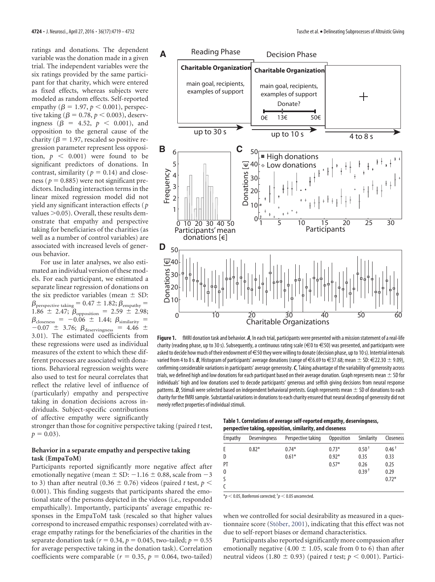ratings and donations. The dependent variable was the donation made in a given trial. The independent variables were the six ratings provided by the same participant for that charity, which were entered as fixed effects, whereas subjects were modeled as random effects. Self-reported empathy ( $\beta = 1.97, p < 0.001$ ), perspective taking ( $\beta = 0.78$ ,  $p < 0.003$ ), deservingness ( $\beta = 4.52, p < 0.001$ ), and opposition to the general cause of the charity ( $\beta$  = 1.97, rescaled so positive regression parameter represent less opposition,  $p \, < \, 0.001$ ) were found to be significant predictors of donations. In contrast, similarity ( $p = 0.14$ ) and closeness ( $p = 0.885$ ) were not significant predictors. Including interaction terms in the linear mixed regression model did not yield any significant interaction effects (*p* values  $>$  0.05). Overall, these results demonstrate that empathy and perspective taking for beneficiaries of the charities (as well as a number of control variables) are associated with increased levels of generous behavior.

For use in later analyses, we also estimated an individual version of these models. For each participant, we estimated a separate linear regression of donations on the six predictor variables (mean  $\pm$  SD:  $\beta_{\text{perspective taking}} = 0.47 \pm 1.82; \beta_{\text{empathy}} = 1.86 \pm 2.47; \beta_{\text{opposition}} = 2.59 \pm 2.98;$  $\beta_{\text{closeness}} = -0.06 \pm 1.44; \ \beta_{\text{similarity}} =$  $-0.07 \pm 3.76$ ;  $\beta_{\text{deservingness}} = 4.46 \pm 1.00$ 3.01). The estimated coefficients from these regressions were used as individual measures of the extent to which these different processes are associated with donations. Behavioral regression weights were also used to test for neural correlates that reflect the relative level of influence of (particularly) empathy and perspective taking in donation decisions across individuals. Subject-specific contributions of affective empathy were significantly

stronger than those for cognitive perspective taking (paired *t* test,  $p = 0.03$ ).

## **Behavior in a separate empathy and perspective taking task (EmpaToM)**

Participants reported significantly more negative affect after emotionally negative (mean  $\pm$  SD:  $-1.16 \pm 0.88$ , scale from  $-3$ to 3) than after neutral (0.36  $\pm$  0.76) videos (paired *t* test,  $p$  < 0.001). This finding suggests that participants shared the emotional state of the persons depicted in the videos (i.e., responded empathically). Importantly, participants' average empathic responses in the EmpaToM task (rescaled so that higher values correspond to increased empathic responses) correlated with average empathy ratings for the beneficiaries of the charities in the separate donation task ( $r = 0.34$ ,  $p = 0.045$ , two-tailed;  $p = 0.55$ for average perspective taking in the donation task). Correlation coefficients were comparable ( $r = 0.35$ ,  $p = 0.064$ , two-tailed)



<span id="page-5-0"></span>Figure 1. fMRI donation task and behavior. *A*, In each trial, participants were presented with a mission statement of a real-life charity (reading phase, up to 30 s). Subsequently, a continuous rating scale ( $\in$ 0 to  $\in$ 50) was presented, and participants were asked to decide how much of their endowment of €50 they were willing to donate (decision phase, up to 10s). Intertrial intervals varied from 4 to 8 s. *B*, Histogram of participants' average donations (range of €6.69 to €37.68; mean  $\pm$  SD: €22.30  $\pm$  9.09), confirming considerable variations in participants' average generosity.*C*, Taking advantage of the variability of generosity across trials, we defined high and low donations for each participant based on their average donation. Graph represents mean  $\pm$  SD for individuals' high and low donations used to decode participants' generous and selfish giving decisions from neural response patterns. *D*, Stimuli were selected based on independent behavioral pretests. Graph represents mean  $\pm$  SD of donations to each charity for the fMRIsample. Substantial variations in donations to each charity ensured that neural decoding of generosity did not merely reflect properties of individual stimuli.

<span id="page-5-1"></span>**Table 1. Correlations of average self-reported empathy, deservingness, perspective taking, opposition, similarity, and closeness**

| Empathy      | <b>Deservingness</b> | Perspective taking | <b>Opposition</b> | Similarity        | Closeness |
|--------------|----------------------|--------------------|-------------------|-------------------|-----------|
| E            | $0.82*$              | $0.74*$            | $0.73*$           | $0.50^+$          | $0.46^+$  |
| D            |                      | $0.61*$            | $0.92*$           | 0.35              | 0.33      |
| PT           |                      |                    | $0.57*$           | 0.26              | 0.25      |
| $\mathbf{0}$ |                      |                    |                   | 0.39 <sup>†</sup> | 0.29      |
| S            |                      |                    |                   |                   | $0.72*$   |
|              |                      |                    |                   |                   |           |

 $*_p$   $<$  0.05, Bonferroni corrected;  $^\dagger{}_{p}$   $<$  0.05 uncorrected.

when we controlled for social desirability as measured in a questionnaire score [\(Stöber, 2001\)](#page-13-36), indicating that this effect was not due to self-report biases or demand characteristics.

Participants also reported significantly more compassion after emotionally negative (4.00  $\pm$  1.05, scale from 0 to 6) than after neutral videos (1.80  $\pm$  0.93) (paired *t* test;  $p < 0.001$ ). Partici-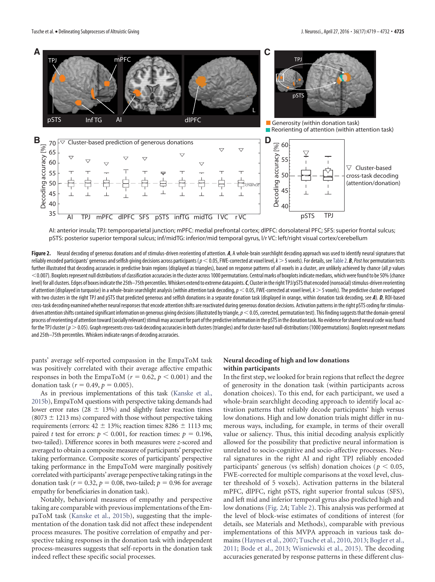

AI: anterior insula; TPJ: temporoparietal junction; mPFC: medial prefrontal cortex; dlPFC: dorsolateral PFC; SFS: superior frontal sulcus; pSTS: posterior superior temporal sulcus; inf/midTG: inferior/mid temporal gyrus, l/r VC: left/right visual cortex/cerebellum

<span id="page-6-0"></span>Figure 2. Neural decoding of generous donations and of stimulus-driven reorienting of attention. *A*, A whole-brain searchlight decoding approach was used to identify neural signatures that reliably encoded participants' generous and selfish giving decisions across participants ( $p < 0.05$ , FWE-corrected at voxel level,  $k > 5$  voxels). For details, see Table 2. *B*, Post hoc permutation tests further illustrated that decoding accuracies in predictive brain regions (displayed as triangles), based on response patterns of all voxels in a cluster, are unlikely achieved by chance (all p values 0.007). Boxplots represent null distributions of classification accuracies in the cluster across 1000 permutations. Central marks of boxplots indicate medians, which were found to be 50% (chance level) for all clusters. Edges of boxes indicate the 25th–75th percentiles. Whiskers extend to extreme data points. C, Cluster in the right TPJ/pSTS that encoded (nonsocial) stimulus-driven reorienting of attention (displayed in turquoise) in a whole-brain searchlight analysis (within attention task decoding,  $p < 0.05$ , FWE-corrected at voxel level,  $k$  > 5 voxels). The predictive cluster overlapped with two clusters in the right TPJ and pSTS that predicted generous and selfish donations in a separate donation task (displayed in orange, within donation task decoding, see *A*). *D*, ROI-based cross-task decoding examined whether neural responses that encode attentionshifts are reactivated during generous donation decisions. Activation patterns in the right pSTS coding forstimulusdriven attention shifts contained significant information on generous giving decisions (illustrated by triangle,  $p<0.05$ , corrected, permutation test). This finding suggests that the domain-general process of reorienting of attention toward (socially relevant) stimuli may account for part of the predictive information in the pSTS in the donation task. No evidence for shared neural code was found for the TPJ cluster ( $p > 0.05$ ). Graph represents cross-task decoding accuracies in both clusters (triangles) and for cluster-based null-distributions (1000 permutations). Boxplots represent medians and 25th–75th percentiles. Whiskers indicate ranges of decoding accuracies.

pants' average self-reported compassion in the EmpaToM task was positively correlated with their average affective empathic responses in both the EmpaToM ( $r = 0.62$ ,  $p < 0.001$ ) and the donation task ( $r = 0.49$ ,  $p = 0.005$ ).

As in previous implementations of this task [\(Kanske et al.,](#page-13-12) [2015b\)](#page-13-12), EmpaToM questions with perspective taking demands had lower error rates (28  $\pm$  13%) and slightly faster reaction times (8073  $\pm$  1213 ms) compared with those without perspective taking requirements (errors:  $42 \pm 13\%$ ; reaction times:  $8286 \pm 1113$  ms; paired *t* test for errors:  $p < 0.001$ , for reaction times:  $p = 0.196$ , two-tailed). Difference scores in both measures were *z*-scored and averaged to obtain a composite measure of participants' perspective taking performance. Composite scores of participants' perspective taking performance in the EmpaToM were marginally positively correlated with participants' average perspective taking ratings in the donation task ( $r = 0.32$ ,  $p = 0.08$ , two-tailed;  $p = 0.96$  for average empathy for beneficiaries in donation task).

Notably, behavioral measures of empathy and perspective taking are comparable with previous implementations of the EmpaToM task [\(Kanske et al., 2015b\)](#page-13-12), suggesting that the implementation of the donation task did not affect these independent process measures. The positive correlation of empathy and perspective taking responses in the donation task with independent process-measures suggests that self-reports in the donation task indeed reflect these specific social processes.

#### **Neural decoding of high and low donations within participants**

In the first step, we looked for brain regions that reflect the degree of generosity in the donation task (within participants across donation choices). To this end, for each participant, we used a whole-brain searchlight decoding approach to identify local activation patterns that reliably decode participants' high versus low donations. High and low donation trials might differ in numerous ways, including, for example, in terms of their overall value or saliency. Thus, this initial decoding analysis explicitly allowed for the possibility that predictive neural information is unrelated to socio-cognitive and socio-affective processes. Neural signatures in the right AI and right TPJ reliably encoded participants' generous (vs selfish) donation choices ( $p < 0.05$ , FWE-corrected for multiple comparisons at the voxel level, cluster threshold of 5 voxels). Activation patterns in the bilateral mPFC, dlPFC, right pSTS, right superior frontal sulcus (SFS), and left mid and inferior temporal gyrus also predicted high and low donations [\(Fig. 2](#page-6-0)*A*; [Table 2\)](#page-7-0). This analysis was performed at the level of block-wise estimates of conditions of interest (for details, see Materials and Methods), comparable with previous implementations of this MVPA approach in various task domains [\(Haynes et al., 2007;](#page-12-24) [Tusche et al., 2010,](#page-13-37) [2013;](#page-13-23) [Bogler et al.,](#page-12-30) [2011;](#page-12-30) [Bode et al., 2013;](#page-12-31) [Wisniewski et al., 2015\)](#page-13-34). The decoding accuracies generated by response patterns in these different clus-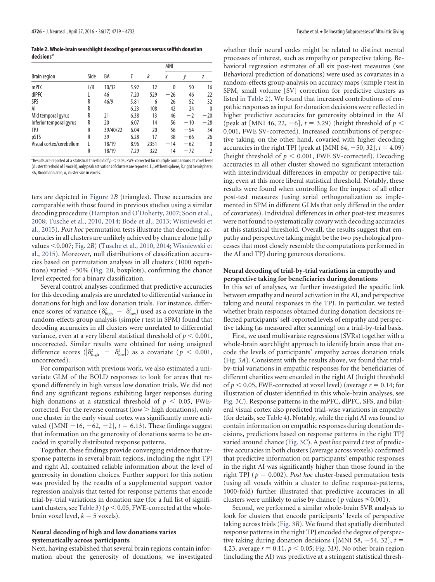<span id="page-7-0"></span>**Table 2. Whole-brain searchlight decoding of generous versus selfish donation decisions***<sup>a</sup>*

|                          |      |          |      |      | MNI   |       |              |
|--------------------------|------|----------|------|------|-------|-------|--------------|
| <b>Brain region</b>      | Side | BA       |      | k    | X     | у     | Ζ            |
| mPFC                     | L/R  | 10/32    | 5.92 | 12   | 0     | 50    | 16           |
| dlPFC                    |      | 46       | 7.20 | 529  | $-26$ | 46    | 22           |
| SFS                      | R    | 46/9     | 5.81 | 6    | 26    | 52    | 32           |
| AI                       | R    |          | 6.23 | 108  | 42    | 24    | 0            |
| Mid temporal gyrus       | R    | 21       | 6.38 | 13   | 46    | $-2$  | $-20$        |
| Inferior temporal gyrus  | R    | 20       | 6.07 | 14   | 56    | $-10$ | $-28$        |
| <b>TPJ</b>               | R    | 39/40/22 | 6.04 | 20   | 56    | $-54$ | 34           |
| pSTS                     | R    | 39       | 6.28 | 17   | 38    | $-66$ | 26           |
| Visual cortex/cerebellum |      | 18/19    | 8.96 | 2351 | $-14$ | $-62$ | $\mathbf{0}$ |
|                          | R    | 18/19    | 7.29 | 322  | 14    | $-72$ | 2            |

*a* Results are reported at a statistical threshold of*p* 0.05, FWE-corrected for multiple comparisons at voxel level (clusterthreshold of 5 voxels); only peak activations of clusters arereported. L, Left hemisphere, R,right hemisphere; BA, Brodmann area;*k*, cluster size in voxels.

ters are depicted in [Figure 2](#page-6-0)*B* (triangles). These accuracies are comparable with those found in previous studies using a similar decoding procedure [\(Hampton and O'Doherty, 2007;](#page-12-32) [Soon et al.,](#page-13-38) [2008;](#page-13-38) [Tusche et al., 2010,](#page-13-37) [2014;](#page-13-33) [Bode et al., 2013;](#page-12-31) [Wisniewski et](#page-13-34) [al., 2015\)](#page-13-34). *Post hoc* permutation tests illustrate that decoding accuracies in all clusters are unlikely achieved by chance alone (all *p* values 0.007; [Fig. 2](#page-6-0)*B*) [\(Tusche et al., 2010,](#page-13-37) [2014;](#page-13-33) [Wisniewski et](#page-13-34) [al., 2015\)](#page-13-34). Moreover, null distributions of classification accuracies based on permutation analyses in all clusters (1000 repetitions) varied  $\sim$  50% [\(Fig. 2](#page-6-0)*B*, boxplots), confirming the chance level expected for a binary classification.

Several control analyses confirmed that predictive accuracies for this decoding analysis are unrelated to differential variance in donations for high and low donation trials. For instance, difference scores of variance ( $\delta_{\text{high}}^2 - \delta_{\text{low}}^2$ ) used as a covariate in the random-effects group analysis (simple *t* test in SPM) found that decoding accuracies in all clusters were unrelated to differential variance, even at a very liberal statistical threshold of  $p < 0.001$ , uncorrected. Similar results were obtained for using unsigned difference scores ( $|\delta_{\text{high}}^2 - \delta_{\text{low}}^2|$ ) as a covariate ( $p < 0.001$ , uncorrected).

For comparison with previous work, we also estimated a univariate GLM of the BOLD responses to look for areas that respond differently in high versus low donation trials. We did not find any significant regions exhibiting larger responses during high donations at a statistical threshold of  $p < 0.05$ , FWEcorrected. For the reverse contrast (low  $>$  high donations), only one cluster in the early visual cortex was significantly more activated ([MNI  $-16$ ,  $-62$ ,  $-2$ ],  $t = 6.13$ ). These findings suggest that information on the generosity of donations seems to be encoded in spatially distributed response patterns.

Together, these findings provide converging evidence that response patterns in several brain regions, including the right TPJ and right AI, contained reliable information about the level of generosity in donation choices. Further support for this notion was provided by the results of a supplemental support vector regression analysis that tested for response patterns that encode trial-by-trial variations in donation size (for a full list of signifi-cant clusters, see [Table 3\)](#page-8-0) ( $p < 0.05$ , FWE-corrected at the whole- $\text{brain voxel level}, k = 5 \text{ voxels}.$ 

## **Neural decoding of high and low donations varies systematically across participants**

Next, having established that several brain regions contain information about the generosity of donations, we investigated whether their neural codes might be related to distinct mental processes of interest, such as empathy or perspective taking. Behavioral regression estimates of all six post-test measures (see Behavioral prediction of donations) were used as covariates in a random-effects group analysis on accuracy maps (simple *t* test in SPM, small volume [SV] correction for predictive clusters as listed in [Table 2\)](#page-7-0). We found that increased contributions of empathic responses as input for donation decisions were reflected in higher predictive accuracies for generosity obtained in the AI (peak at [MNI 46, 22,  $-6$ ],  $t = 3.29$ ) (height threshold of  $p <$ 0.001, FWE SV-corrected). Increased contributions of perspective taking, on the other hand, covaried with higher decoding accuracies in the right TPJ (peak at  $[MNI 64, -50, 32], t = 4.09$ ) (height threshold of  $p < 0.001$ , FWE SV-corrected). Decoding accuracies in all other cluster showed no significant interaction with interindividual differences in empathy or perspective taking, even at this more liberal statistical threshold. Notably, these results were found when controlling for the impact of all other post-test measures (using serial orthogonalization as implemented in SPM in different GLMs that only differed in the order of covariates). Individual differences in other post-test measures were not found to systematically covary with decoding accuracies at this statistical threshold. Overall, the results suggest that empathy and perspective taking might be the two psychological processes that most closely resemble the computations performed in the AI and TPJ during generous donations.

## **Neural decoding of trial-by-trial variations in empathy and perspective taking for beneficiaries during donations**

In this set of analyses, we further investigated the specific link between empathy and neural activation in the AI, and perspective taking and neural responses in the TPJ. In particular, we tested whether brain responses obtained during donation decisions reflected participants' self-reported levels of empathy and perspective taking (as measured after scanning) on a trial-by-trial basis.

First, we used multivariate regressions (SVRs) together with a whole-brain searchlight approach to identify brain areas that encode the levels of participants' empathy across donation trials [\(Fig. 3](#page-8-1)*A*). Consistent with the results above, we found that trialby-trial variations in empathic responses for the beneficiaries of different charities were encoded in the right AI (height threshold of  $p < 0.05$ , FWE-corrected at voxel level) (average  $r = 0.14$ ; for illustration of cluster identified in this whole-brain analyses, see [Fig. 3](#page-8-1)*C*). Response patterns in the mPFC, dlPFC, SFS, and bilateral visual cortex also predicted trial-wise variations in empathy (for details, see [Table 4\)](#page-8-2). Notably, while the right AI was found to contain information on empathic responses during donation decisions, predictions based on response patterns in the right TPJ varied around chance [\(Fig. 3](#page-8-1)*C*). A *post hoc* paired *t* test of predictive accuracies in both clusters (average across voxels) confirmed that predictive information on participants' empathic responses in the right AI was significantly higher than those found in the  $right TPI (p = 0.002)$ . *Post hoc* cluster-based permutation tests (using all voxels within a cluster to define response-patterns, 1000-fold) further illustrated that predictive accuracies in all clusters were unlikely to arise by chance ( $p$  values  $\leq 0.001$ ).

Second, we performed a similar whole-brain SVR analysis to look for clusters that encode participants' levels of perspective taking across trials [\(Fig. 3](#page-8-1)*B*). We found that spatially distributed response patterns in the right TPJ encoded the degree of perspective taking during donation decisions ([MNI 58,  $-54$ , 32],  $t =$ 4.23, average  $r = 0.11$ ,  $p < 0.05$ ; [Fig. 3](#page-8-1)D). No other brain region (including the AI) was predictive at a stringent statistical thresh-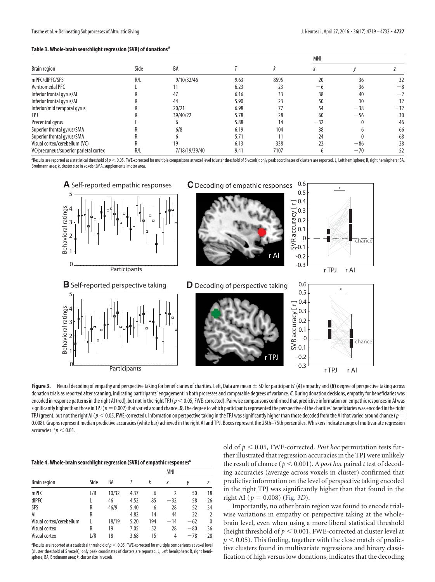## <span id="page-8-0"></span>**Table 3. Whole-brain searchlight regression (SVR) of donations***<sup>a</sup>*

|                                       |      |               |      |      | MNI   |       |                          |
|---------------------------------------|------|---------------|------|------|-------|-------|--------------------------|
| <b>Brain region</b>                   | Side | BA            |      |      |       |       |                          |
| mPFC/dIPFC/SFS                        | R/L  | 9/10/32/46    | 9.63 | 8595 | 20    | 36    | 32                       |
| <b>Ventromedal PFC</b>                |      |               | 6.23 | 23   |       | 36    | -8                       |
| Inferior frontal gyrus/Al             |      |               | 6.16 | 33   | 38    | 40    | $\overline{\phantom{0}}$ |
| Inferior frontal gyrus/Al             |      | 44            | 5.90 | 23   | 50    | 10    | 12                       |
| Inferior/mid temporal gyrus           |      | 20/21         | 6.98 |      | 54    | $-38$ | $-12$                    |
| <b>TPJ</b>                            |      | 39/40/22      | 5.78 | 28   | 60    | $-56$ | 30                       |
| Precentral gyrus                      |      |               | 5.88 | 14   | $-32$ | ſ     | 46                       |
| Superior frontal gyrus/SMA            |      | 6/8           | 6.19 | 104  | 38    |       | 66                       |
| Superior frontal gyrus/SMA            |      |               | 5.71 | 11   | 24    |       | 68                       |
| Visual cortex/cerebellum (VC)         |      | 19            | 6.13 | 338  | 22    | $-86$ | 28                       |
| VC/precuneus/superior parietal cortex | R/L  | 7/18/19/39/40 | 9.41 | 7107 |       | $-70$ | 52                       |

"Results are reported at a statistical threshold of  $p < 0.05$ , FWE-corrected for multiple comparisons at voxel level (cluster threshold of 5 voxels); only peak coordinates of clusters are reported. L, Left hemisphere; R, r Brodmann area;*k*, cluster size in voxels; SMA, supplemental motor area.



<span id="page-8-1"></span>Figure 3. Neural decoding of empathy and perspective taking for beneficiaries of charities. Left, Data are mean  $\pm$  SD for participants' (A) empathy and (B) degree of perspective taking across donation trials as reported after scanning, indicating participants' engagement in both processes and comparable degrees of variance.*C*, During donation decisions, empathy for beneficiaries was encoded in response patterns in the right AI (red), but not in the right TPJ ( $p < 0.05$ , FWE-corrected). Pairwise comparisons confirmed that predictive information on empathic responses in AI was significantly higher than those in TPJ (*p*  $=0.002$ ) that varied around chance. **D**, The degree to which participants represented the perspective of the charities' beneficiaries was encoded in the right TPJ (green), but not the right AI ( $\rho <$  0.05, FWE-corrected). Information on perspective taking in the TPJ was significantly higher than those decoded from the AI that varied around chance ( $\rho =$ 0.008). Graphs represent median predictive accuracies (white bar) achieved in the right AI and TPJ. Boxes represent the 25th–75th percentiles. Whiskers indicate range of multivariate regression accuracies.  $p < 0.01$ .

#### <span id="page-8-2"></span>**Table 4. Whole-brain searchlight regression (SVR) of empathic responses***<sup>a</sup>*

|                          |      |       |      |     | MNI   |       |    |  |  |
|--------------------------|------|-------|------|-----|-------|-------|----|--|--|
| <b>Brain region</b>      | Side | BA    |      | k   | X     | V     | Z  |  |  |
| mPFC                     | L/R  | 10/32 | 4.37 | 6   |       | 50    | 18 |  |  |
| dlPFC                    |      | 46    | 4.52 | 85  | $-32$ | 58    | 26 |  |  |
| SFS                      | R    | 46/9  | 5.40 | 6   | 28    | 52    | 34 |  |  |
| AI                       | R    |       | 4.82 | 14  | 44    | 22    |    |  |  |
| Visual cortex/cerebellum |      | 18/19 | 5.20 | 194 | $-14$ | $-62$ | 0  |  |  |
| Visual cortex            | R    | 19    | 7.05 | 52  | 28    | $-80$ | 36 |  |  |
| Visual cortex            | L/R  | 18    | 3.68 | 15  | 4     | $-78$ | 28 |  |  |

*a* Results are reported at a statistical threshold of*p* 0.05, FWE-corrected for multiple comparisons at voxel level (cluster threshold of 5 voxels); only peak coordinates of clusters are reported. L, Left hemisphere; R, right hemisphere; BA, Brodmann area;*k*, cluster size in voxels.

old of  $p < 0.05$ , FWE-corrected. *Post hoc* permutation tests further illustrated that regression accuracies in the TPJ were unlikely the result of chance ( $p < 0.001$ ). A *post hoc* paired *t* test of decoding accuracies (average across voxels in cluster) confirmed that predictive information on the level of perspective taking encoded in the right TPJ was significantly higher than that found in the  $right AI (p = 0.008) (Fig. 3D).$  $right AI (p = 0.008) (Fig. 3D).$  $right AI (p = 0.008) (Fig. 3D).$ 

Importantly, no other brain region was found to encode trialwise variations in empathy or perspective taking at the wholebrain level, even when using a more liberal statistical threshold (height threshold of  $p < 0.001$ , FWE-corrected at cluster level at  $p < 0.05$ ). This finding, together with the close match of predictive clusters found in multivariate regressions and binary classification of high versus low donations, indicates that the decoding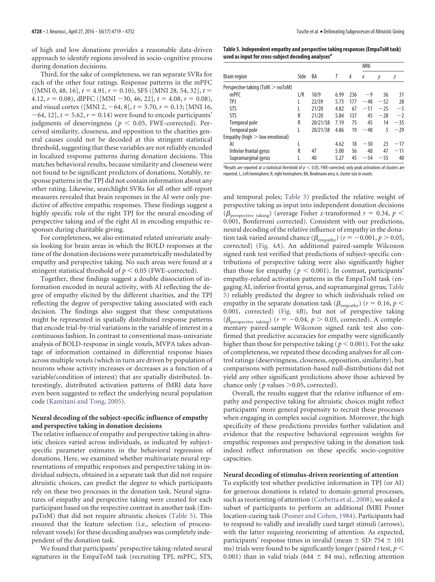of high and low donations provides a reasonable data-driven approach to identify regions involved in socio-cognitive process during donation decisions.

Third, for the sake of completeness, we ran separate SVRs for each of the other four ratings. Response patterns in the mPFC  $([MNI 0, 48, 16], t = 4.91, r = 0.10), SFS ([MNI 28, 54, 32], t =$  $4.12, r = 0.08$ , dlPFC ([MNI - 30, 46, 22],  $t = 4.08, r = 0.08$ ), and visual cortex ([MNI 2,  $-64$ , 8],  $t = 5.70$ ,  $r = 0.13$ ; [MNI 16,  $[-64, 12]$ ,  $t = 5.62$ ,  $r = 0.14$ ) were found to encode participants' judgments of deservingness ( $p < 0.05$ , FWE-corrected). Perceived similarity, closeness, and opposition to the charities general causes could not be decoded at this stringent statistical threshold, suggesting that these variables are not reliably encoded in localized response patterns during donation decisions. This matches behavioral results, because similarity and closeness were not found to be significant predictors of donations. Notably, response patterns in the TPJ did not contain information about any other rating. Likewise, searchlight SVRs for all other self-report measures revealed that brain responses in the AI were only predictive of affective empathic responses. These findings suggest a highly specific role of the right TPJ for the neural encoding of perspective taking and of the right AI in encoding empathic responses during charitable giving.

For completeness, we also estimated related univariate analysis looking for brain areas in which the BOLD responses at the time of the donation decisions were parametrically modulated by empathy and perspective taking. No such areas were found at a stringent statistical threshold of  $p < 0.05$  (FWE-corrected).

Together, these findings suggest a double dissociation of information encoded in neural activity, with AI reflecting the degree of empathy elicited by the different charities, and the TPJ reflecting the degree of perspective taking associated with each decision. The findings also suggest that these computations might be represented in spatially distributed response patterns that encode trial-by-trial variations in the variable of interest in a continuous fashion. In contrast to conventional mass-univariate analysis of BOLD-response in single voxels, MVPA takes advantage of information contained in differential response biases across multiple voxels (which in turn are driven by population of neurons whose activity increases or decreases as a function of a variable/condition of interest) that are spatially distributed. Interestingly, distributed activation patterns of fMRI data have even been suggested to reflect the underlying neural population code [\(Kamitani and Tong, 2005\)](#page-13-39).

# **Neural decoding of the subject-specific influence of empathy and perspective taking in donation decisions**

The relative influence of empathy and perspective taking in altruistic choices varied across individuals, as indicated by subjectspecific parameter estimates in the behavioral regression of donations. Here, we examined whether multivariate neural representations of empathic responses and perspective taking in individual subjects, obtained in a separate task that did not require altruistic choices, can predict the degree to which participants rely on these two processes in the donation task. Neural signatures of empathy and perspective taking were created for each participant based on the respective contrast in another task (EmpaToM) that did not require altruistic choices [\(Table 5\)](#page-9-0). This ensured that the feature selection (i.e., selection of processrelevant voxels) for these decoding analyses was completely independent of the donation task.

We found that participants' perspective taking-related neural signatures in the EmpaToM task (recruiting TPJ, mPFC, STS,

<span id="page-9-0"></span>

| Table 5. Independent empathy and perspective taking responses (EmpaToM task) |
|------------------------------------------------------------------------------|
| used as input for cross-subject decoding analyses <sup>a</sup>               |

|                                  |     |          |      |     | <b>MNI</b> |       |                         |  |
|----------------------------------|-----|----------|------|-----|------------|-------|-------------------------|--|
| <b>Brain region</b>              |     | BA       | Τ    | k   | X          | у     | Z                       |  |
| Perspective taking (ToM > noToM) |     |          |      |     |            |       |                         |  |
| mPFC                             | L/R | 10/9     | 6.99 | 236 | $-9$       | 56    | 31                      |  |
| <b>TPJ</b>                       |     | 22/39    | 5.73 | 177 | $-48$      | $-52$ | 28                      |  |
| <b>STS</b>                       |     | 21/20    | 4.82 | 67  | $-51$      | $-25$ | $-5$                    |  |
| <b>STS</b>                       | R   | 21/20    | 5.84 | 137 | 45         | $-28$ | $-2$                    |  |
| Temporal pole                    | R   | 20/21/38 | 7.19 | 75  | 45         | 14    | $-35$                   |  |
| Temporal pole                    | L   | 20/21/38 | 4.86 | 19  | $-48$      | 5     | $-29$                   |  |
| Empathy (high $>$ low emotional) |     |          |      |     |            |       |                         |  |
| Al                               |     |          | 4.62 | 18  | $-30$      | 23    | $-17$                   |  |
| Inferior frontal gyrus           | R   | 47       | 5.00 | 56  | 48         | 47    | 11<br>$\qquad \qquad -$ |  |
| Supramarginal gyrus              |     | 40       | 5.27 | 45  | $-54$      | $-55$ | 40                      |  |

 $^a$ Results are reported at a statistical threshold of  $p < 0.05$ , FWE-corrected; only peak activations of clusters are reported. L, Left hemisphere; R, right hemisphere; BA, Brodmann area;*k*, cluster size in voxels.

and temporal poles; [Table 5\)](#page-9-0) predicted the relative weight of perspective taking as input into independent donation decisions  $(\beta_{\text{perspective taking}})$  (average Fisher *z*-transformed  $r = 0.34$ ,  $p <$ 0.001, Bonferroni corrected). Consistent with our predictions, neural decoding of the relative influence of empathy in the donation task varied around chance  $(\beta_{\text{empathy}})$  ( $r = -0.001, p > 0.05$ , corrected) [\(Fig. 4](#page-10-0)*A*). An additional paired-sample Wilcoxon signed rank test verified that predictions of subject-specific contributions of perspective taking were also significantly higher than those for empathy ( $p < 0.001$ ). In contrast, participants' empathy-related activation patterns in the EmpaToM task (engaging AI, inferior frontal gyrus, and supramarginal gyrus; [Table](#page-9-0) [5\)](#page-9-0) reliably predicted the degree to which individuals relied on empathy in the separate donation task ( $\beta_{\rm{empathy}}$ ) ( $r = 0.16$ ,  $p <$ 0.001, corrected) [\(Fig. 4](#page-10-0)*B*), but not of perspective taking ( $\beta_{\text{perspective taking}}$ ) ( $r = -0.04$ ,  $p > 0.05$ , corrected). A complementary paired-sample Wilcoxon signed rank test also confirmed that predictive accuracies for empathy were significantly higher than those for perspective taking ( $p < 0.001$ ). For the sake of completeness, we repeated these decoding analyses for all control ratings (deservingness, closeness, opposition, similarity), but comparisons with permutation-based null-distributions did not yield any other significant predictions above those achieved by chance only ( $p$  values  $> 0.05$ , corrected).

Overall, the results suggest that the relative influence of empathy and perspective taking for altruistic choices might reflect participants' more general propensity to recruit these processes when engaging in complex social cognition. Moreover, the high specificity of these predictions provides further validation and evidence that the respective behavioral regression weights for empathic responses and perspective taking in the donation task indeed reflect information on these specific socio-cognitive capacities.

#### **Neural decoding of stimulus-driven reorienting of attention**

To explicitly test whether predictive information in TPJ (or AI) for generous donations is related to domain-general processes, such as reorienting of attention [\(Corbetta et al., 2008\)](#page-12-17), we asked a subset of participants to perform an additional fMRI Posner location-cueing task [\(Posner and Cohen, 1984\)](#page-13-27). Participants had to respond to validly and invalidly cued target stimuli (arrows), with the latter requiring reorienting of attention. As expected, participants' response times in invalid (mean  $\pm$  SD: 754  $\pm$  101 ms) trials were found to be significantly longer (paired *t* test, *p* 0.001) than in valid trials (644  $\pm$  84 ms), reflecting attention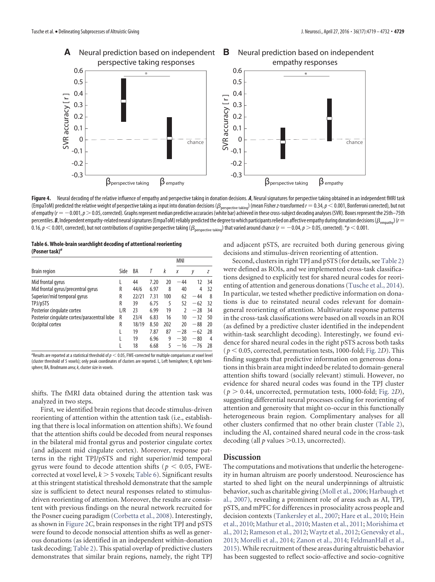

<span id="page-10-0"></span>Figure 4. Neural decoding of the relative influence of empathy and perspective taking in donation decisions. *A*, Neural signatures for perspective taking obtained in an independent fMRI task (EmpaToM) predicted the relative weight of perspective taking as input into donation decisions ( $\beta_\text{perspective\ taking}$ ) (mean Fisher z-transformed  $r$   $=$  0.34,  $p$   $<$  0.001, Bonferroni corrected), but not of empathy ( $r=-0.001$ ,  $p>0.05$ , corrected). Graphs represent median predictive accuracies (white bar) achieved in these cross-subject decoding analyses (SVR). Boxes represent the 25th–75th percentiles. **B**, Independent empathy-related neural signatures (EmpaToM) reliably predicted the degree to which participants relied on affective empathy during donation decisions ( $\beta_{\rm empath}$ ) (*r*  $=$ 0.16,  $p <$  0.001, corrected), but not contributions of cognitive perspective taking ( $\beta_{\rm perspective \ taking}$ ) that varied around chance ( $r = -0.04$ ,  $p >$  0.05, corrected).  $^*p$   $<$  0.001.

<span id="page-10-1"></span>

| Table 6. Whole-brain searchlight decoding of attentional reorienting |
|----------------------------------------------------------------------|
| (Posner task) <sup><i>a</i></sup>                                    |

|                                             |     |       |      |     | MNI   |       |    |  |
|---------------------------------------------|-----|-------|------|-----|-------|-------|----|--|
| <b>Brain region</b>                         |     | BA    | Τ    | k   | X     | у     | Z  |  |
| Mid frontal gyrus                           |     | 44    | 7.20 | 20  | $-44$ | 12    | 34 |  |
| Mid frontal gyrus/precentral gyrus          | R   | 44/6  | 6.97 | 8   | 40    | 4     | 32 |  |
| Superior/mid temporal gyrus                 | R   | 22/21 | 7.31 | 100 | 62    | $-44$ | 8  |  |
| TPJ/pSTS                                    | R   | 39    | 6.75 | 5   | 52    | $-62$ | 32 |  |
| Posterior cingulate cortex                  | L/R | 23    | 6.99 | 19  | C     | $-28$ | 34 |  |
| Posterior cinqulate cortex/paracentral lobe | R   | 23/4  | 6.83 | 16  | 10    | $-32$ | 50 |  |
| Occipital cortex                            | R   | 18/19 | 8.50 | 202 | 20    | $-88$ | 20 |  |
|                                             |     | 19    | 7.87 | 87  | $-28$ | $-62$ | 28 |  |
|                                             |     | 19    | 6.96 | 9   | $-30$ | $-80$ | 4  |  |
|                                             |     | 18    | 6.68 |     | $-16$ | $-76$ | 28 |  |

 $^a$ Results are reported at a statistical threshold of  $p < 0.05$ , FWE-corrected for multiple comparisons at voxel level (cluster threshold of 5 voxels); only peak coordinates of clusters are reported. L, Left hemisphere; R, right hemisphere; BA, Brodmann area;*k*, cluster size in voxels.

shifts. The fMRI data obtained during the attention task was analyzed in two steps.

First, we identified brain regions that decode stimulus-driven reorienting of attention within the attention task (i.e., establishing that there is local information on attention shifts). We found that the attention shifts could be decoded from neural responses in the bilateral mid frontal gyrus and posterior cingulate cortex (and adjacent mid cingulate cortex). Moreover, response patterns in the right TPJ/pSTS and right superior/mid temporal gyrus were found to decode attention shifts ( $p < 0.05$ , FWEcorrected at voxel level,  $k > 5$  voxels; [Table 6\)](#page-10-1). Significant results at this stringent statistical threshold demonstrate that the sample size is sufficient to detect neural responses related to stimulusdriven reorienting of attention. Moreover, the results are consistent with previous findings on the neural network recruited for the Posner cueing paradigm [\(Corbetta et al., 2008\)](#page-12-17). Interestingly, as shown in [Figure 2](#page-6-0)*C*, brain responses in the right TPJ and pSTS were found to decode nonsocial attention shifts as well as generous donations (as identified in an independent within-donation task decoding; [Table 2\)](#page-7-0). This spatial overlap of predictive clusters demonstrates that similar brain regions, namely, the right TPJ and adjacent pSTS, are recruited both during generous giving decisions and stimulus-driven reorienting of attention.

Second, clusters in right TPJ and pSTS (for details, see [Table 2\)](#page-7-0) were defined as ROIs, and we implemented cross-task classifications designed to explicitly test for shared neural codes for reorienting of attention and generous donations [\(Tusche et al., 2014\)](#page-13-33). In particular, we tested whether predictive information on donations is due to reinstated neural codes relevant for domaingeneral reorienting of attention. Multivariate response patterns in the cross-task classifications were based on all voxels in an ROI (as defined by a predictive cluster identified in the independent within-task searchlight decoding). Interestingly, we found evidence for shared neural codes in the right pSTS across both tasks  $(p < 0.05$ , corrected, permutation tests, 1000-fold; [Fig. 2](#page-6-0)*D*). This finding suggests that predictive information on generous donations in this brain area might indeed be related to domain-general attention shifts toward (socially relevant) stimuli. However, no evidence for shared neural codes was found in the TPJ cluster  $(p > 0.44$ , uncorrected, permutation tests, 1000-fold; [Fig. 2](#page-6-0)*D*), suggesting differential neural processes coding for reorienting of attention and generosity that might co-occur in this functionally heterogeneous brain region. Complimentary analyses for all other clusters confirmed that no other brain cluster [\(Table 2\)](#page-7-0), including the AI, contained shared neural code in the cross-task decoding (all  $p$  values  $>$  0.13, uncorrected).

#### **Discussion**

The computations and motivations that underlie the heterogeneity in human altruism are poorly understood. Neuroscience has started to shed light on the neural underpinnings of altruistic behavior, such as charitable giving [\(Moll et al., 2006;](#page-13-24) [Harbaugh et](#page-12-3) [al., 2007\)](#page-12-3), revealing a prominent role of areas such as AI, TPJ, pSTS, and mPFC for differences in prosociality across people and decision contexts [\(Tankersley et al., 2007;](#page-13-1) [Hare et al., 2010;](#page-12-8) [Hein](#page-12-9) [et al., 2010;](#page-12-9) [Mathur et al., 2010;](#page-13-4) [Masten et al., 2011;](#page-13-5) [Morishima et](#page-13-7) [al., 2012;](#page-13-7) [Rameson et al., 2012;](#page-13-8) [Waytz et al., 2012;](#page-13-9) [Genevsky et al.,](#page-12-33) [2013;](#page-12-33) [Morelli et al., 2014;](#page-13-10) [Zanon et al., 2014;](#page-13-40) [FeldmanHall et al.,](#page-12-34) [2015\)](#page-12-34). While recruitment of these areas during altruistic behavior has been suggested to reflect socio-affective and socio-cognitive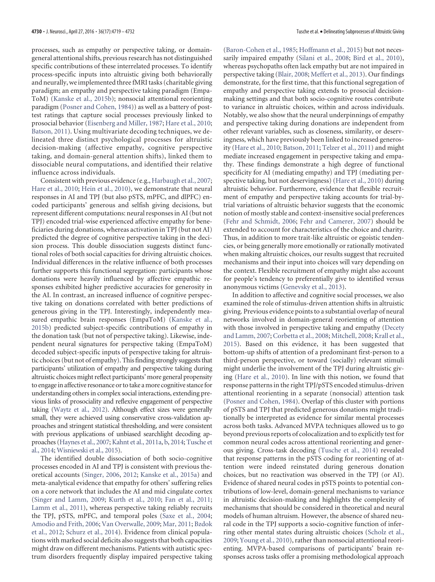processes, such as empathy or perspective taking, or domaingeneral attentional shifts, previous research has not distinguished specific contributions of these interrelated processes. To identify process-specific inputs into altruistic giving both behaviorally and neurally, we implemented three fMRI tasks (charitable giving paradigm; an empathy and perspective taking paradigm (Empa-ToM) [\(Kanske et al., 2015b\)](#page-13-12); nonsocial attentional reorienting paradigm [\(Posner and Cohen, 1984\)](#page-13-27)) as well as a battery of posttest ratings that capture social processes previously linked to prosocial behavior [\(Eisenberg and Miller, 1987;](#page-12-20) [Hare et al., 2010;](#page-12-8) [Batson, 2011\)](#page-12-18). Using multivariate decoding techniques, we delineated three distinct psychological processes for altruistic decision-making (affective empathy, cognitive perspective taking, and domain-general attention shifts), linked them to dissociable neural computations, and identified their relative influence across individuals.

Consistent with previous evidence (e.g., [Harbaugh et al., 2007;](#page-12-3) [Hare et al., 2010;](#page-12-8) [Hein et al., 2010\)](#page-12-9), we demonstrate that neural responses in AI and TPJ (but also pSTS, mPFC, and dlPFC) encoded participants' generous and selfish giving decisions, but represent different computations: neural responses in AI (but not TPJ) encoded trial-wise experienced affective empathy for beneficiaries during donations, whereas activation in TPJ (but not AI) predicted the degree of cognitive perspective taking in the decision process. This double dissociation suggests distinct functional roles of both social capacities for driving altruistic choices. Individual differences in the relative influence of both processes further supports this functional segregation: participants whose donations were heavily influenced by affective empathic responses exhibited higher predictive accuracies for generosity in the AI. In contrast, an increased influence of cognitive perspective taking on donations correlated with better predictions of generous giving in the TPJ. Interestingly, independently measured empathic brain responses (EmpaToM) [\(Kanske et al.,](#page-13-12) [2015b\)](#page-13-12) predicted subject-specific contributions of empathy in the donation task (but not of perspective taking). Likewise, independent neural signatures for perspective taking (EmpaToM) decoded subject-specific inputs of perspective taking for altruistic choices (but not of empathy).Thisfinding strongly suggests that participants' utilization of empathy and perspective taking during altruistic choices might reflect participants' more general propensity to engage in affective resonance or to take a more cognitive stance for understanding others in complex social interactions, extending previous links of prosociality and reflexive engagement of perspective taking [\(Waytz et al., 2012\)](#page-13-9). Although effect sizes were generally small, they were achieved using conservative cross-validation approaches and stringent statistical thresholding, and were consistent with previous applications of unbiased searchlight decoding approaches [\(Haynes et al., 2007;](#page-12-24) [Kahnt et al., 2011a,](#page-12-26) [b,](#page-12-27) [2014;](#page-13-35) [Tusche et](#page-13-33) [al., 2014;](#page-13-33) [Wisniewski et al., 2015\)](#page-13-34).

The identified double dissociation of both socio-cognitive processes encoded in AI and TPJ is consistent with previous theoretical accounts [\(Singer, 2006,](#page-13-41) [2012;](#page-13-3) [Kanske et al., 2015a\)](#page-13-42) and meta-analytical evidence that empathy for others' suffering relies on a core network that includes the AI and mid cingulate cortex [\(Singer and Lamm, 2009;](#page-13-13) [Kurth et al., 2010;](#page-13-14) [Fan et al., 2011;](#page-12-10) [Lamm et al., 2011\)](#page-13-11), whereas perspective taking reliably recruits the TPJ, pSTS, mPFC, and temporal poles [\(Saxe et al., 2004;](#page-13-43) [Amodio and Frith, 2006;](#page-12-35) [Van Overwalle, 2009;](#page-13-15) [Mar, 2011;](#page-13-16) [Bzdok](#page-12-11) [et al., 2012;](#page-12-11) [Schurz et al., 2014\)](#page-13-17). Evidence from clinical populations with marked social deficits also suggests that both capacities might draw on different mechanisms. Patients with autistic spectrum disorders frequently display impaired perspective taking [\(Baron-Cohen et al., 1985;](#page-12-36) [Hoffmann et al., 2015\)](#page-12-13) but not necessarily impaired empathy [\(Silani et al., 2008;](#page-13-44) [Bird et al., 2010\)](#page-12-14), whereas psychopaths often lack empathy but are not impaired in perspective taking [\(Blair, 2008;](#page-12-15) [Meffert et al., 2013\)](#page-13-18). Our findings demonstrate, for the first time, that this functional segregation of empathy and perspective taking extends to prosocial decisionmaking settings and that both socio-cognitive routes contribute to variance in altruistic choices, within and across individuals. Notably, we also show that the neural underpinnings of empathy and perspective taking during donations are independent from other relevant variables, such as closeness, similarity, or deservingness, which have previously been linked to increased generosity [\(Hare et al., 2010;](#page-12-8) [Batson, 2011;](#page-12-18) [Telzer et al., 2011\)](#page-13-6) and might mediate increased engagement in perspective taking and empathy. These findings demonstrate a high degree of functional specificity for AI (mediating empathy) and TPJ (mediating perspective taking, but not deservingness) [\(Hare et al., 2010\)](#page-12-8) during altruistic behavior. Furthermore, evidence that flexible recruitment of empathy and perspective taking accounts for trial-bytrial variations of altruistic behavior suggests that the economic notion of mostly stable and context-insensitive social preferences [\(Fehr and Schmidt, 2006;](#page-12-2) [Fehr and Camerer, 2007\)](#page-12-37) should be extended to account for characteristics of the choice and charity. Thus, in addition to more trait-like altruistic or egoistic tendencies, or being generally more emotionally or rationally motivated when making altruistic choices, our results suggest that recruited mechanisms and their input into choices will vary depending on the context. Flexible recruitment of empathy might also account for people's tendency to preferentially give to identified versus anonymous victims [\(Genevsky et al., 2013\)](#page-12-33).

In addition to affective and cognitive social processes, we also examined the role of stimulus-driven attention shifts in altruistic giving. Previous evidence points to a substantial overlap of neural networks involved in domain-general reorienting of attention with those involved in perspective taking and empathy [\(Decety](#page-12-16) [and Lamm, 2007;](#page-12-16) [Corbetta et al., 2008;](#page-12-17) [Mitchell, 2008;](#page-13-19) [Krall et al.,](#page-13-20) [2015\)](#page-13-20). Based on this evidence, it has been suggested that bottom-up shifts of attention of a predominant first-person to a third-person perspective, or toward (socially) relevant stimuli might underlie the involvement of the TPJ during altruistic giving [\(Hare et al., 2010\)](#page-12-8). In line with this notion, we found that response patterns in the right TPJ/pSTS encoded stimulus-driven attentional reorienting in a separate (nonsocial) attention task [\(Posner and Cohen, 1984\)](#page-13-27). Overlap of this cluster with portions of pSTS and TPJ that predicted generous donations might traditionally be interpreted as evidence for similar mental processes across both tasks. Advanced MVPA techniques allowed us to go beyond previous reports of colocalization and to explicitly test for common neural codes across attentional reorienting and generous giving. Cross-task decoding [\(Tusche et al., 2014\)](#page-13-33) revealed that response patterns in the pSTS coding for reorienting of attention were indeed reinstated during generous donation choices, but no reactivation was observed in the TPJ (or AI). Evidence of shared neural codes in pSTS points to potential contributions of low-level, domain-general mechanisms to variance in altruistic decision-making and highlights the complexity of mechanisms that should be considered in theoretical and neural models of human altruism. However, the absence of shared neural code in the TPJ supports a socio-cognitive function of inferring other mental states during altruistic choices [\(Scholz et al.,](#page-13-21) [2009;](#page-13-21) [Young et al., 2010\)](#page-13-22), rather than nonsocial attentional reorienting. MVPA-based comparisons of participants' brain responses across tasks offer a promising methodological approach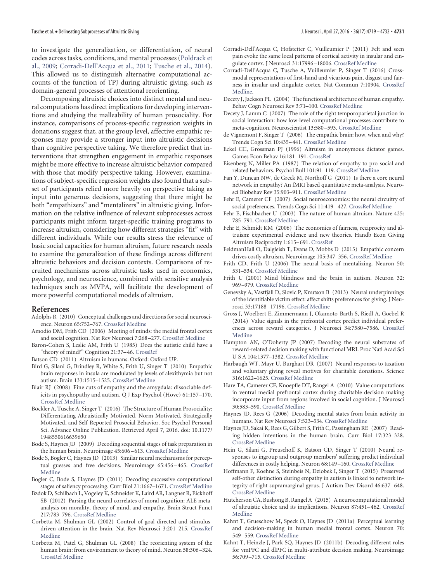to investigate the generalization, or differentiation, of neural codes across tasks, conditions, and mental processes [\(Poldrack et](#page-13-45) [al., 2009;](#page-13-45) [Corradi-Dell'Acqua et al., 2011;](#page-12-38) [Tusche et al., 2014\)](#page-13-33). This allowed us to distinguish alternative computational accounts of the function of TPJ during altruistic giving, such as domain-general processes of attentional reorienting.

Decomposing altruistic choices into distinct mental and neural computations has direct implications for developing interventions and studying the malleability of human prosociality. For instance, comparisons of process-specific regression weights in donations suggest that, at the group level, affective empathic responses may provide a stronger input into altruistic decisions than cognitive perspective taking. We therefore predict that interventions that strengthen engagement in empathic responses might be more effective to increase altruistic behavior compared with those that modify perspective taking. However, examinations of subject-specific regression weights also found that a subset of participants relied more heavily on perspective taking as input into generous decisions, suggesting that there might be both "empathizers" and "mentalizers" in altruistic giving. Information on the relative influence of relevant subprocesses across participants might inform target-specific training programs to increase altruism, considering how different strategies "fit" with different individuals. While our results stress the relevance of basic social capacities for human altruism, future research needs to examine the generalization of these findings across different altruistic behaviors and decision contexts. Comparisons of recruited mechanisms across altruistic tasks used in economics, psychology, and neuroscience, combined with sensitive analysis techniques such as MVPA, will facilitate the development of more powerful computational models of altruism.

#### **References**

- <span id="page-12-4"></span>Adolphs R (2010) Conceptual challenges and directions for social neuroscience. Neuron 65:752–767. [CrossRef](http://dx.doi.org/10.1016/j.neuron.2010.03.006) [Medline](http://www.ncbi.nlm.nih.gov/pubmed/20346753)
- <span id="page-12-35"></span>Amodio DM, Frith CD (2006) Meeting of minds: the medial frontal cortex and social cognition. Nat Rev Neurosci 7:268 –277. [CrossRef](http://dx.doi.org/10.1038/nrn1884) [Medline](http://www.ncbi.nlm.nih.gov/pubmed/16552413)
- <span id="page-12-36"></span>Baron-Cohen S, Leslie AM, Frith U (1985) Does the autistic child have a "theory of mind?" Cognition 21:37–46. [CrossRef](http://dx.doi.org/10.1016/0010-0277(85)90022-8)
- <span id="page-12-18"></span>Batson CD (2011) Altruism in humans. Oxford: Oxford UP.
- <span id="page-12-14"></span>Bird G, Silani G, Brindley R, White S, Frith U, Singer T (2010) Empathic brain responses in insula are modulated by levels of alexithymia but not autism. Brain 133:1515–1525. [CrossRef](http://dx.doi.org/10.1093/brain/awq060) [Medline](http://www.ncbi.nlm.nih.gov/pubmed/20371509)
- <span id="page-12-15"></span>Blair RJ (2008) Fine cuts of empathy and the amygdala: dissociable deficits in psychopathy and autism. Q J Exp Psychol (Hove) 61:157–170. [CrossRef](http://dx.doi.org/10.1080/17470210701508855) [Medline](http://www.ncbi.nlm.nih.gov/pubmed/18038346)
- <span id="page-12-19"></span>Böckler A, Tusche A, Singer T (2016) The Structure of Human Prosociality: Differentiating Altruistically Motivated, Norm Motivated, Strategically Motivated, and Self-Reported Prosocial Behavior. Soc Psychol Personal Sci. Advance Online Publication. Retrieved April 7, 2016. doi: 10.1177/ 1948550616639650
- <span id="page-12-25"></span>Bode S, Haynes JD (2009) Decoding sequential stages of task preparation in the human brain. Neuroimage 45:606 –613. [CrossRef](http://dx.doi.org/10.1016/j.neuroimage.2008.11.031) [Medline](http://www.ncbi.nlm.nih.gov/pubmed/19111624)
- <span id="page-12-31"></span>Bode S, Bogler C, Haynes JD (2013) Similar neural mechanisms for perceptual guesses and free decisions. Neuroimage 65:456 –465. [CrossRef](http://dx.doi.org/10.1016/j.neuroimage.2012.09.064) [Medline](http://www.ncbi.nlm.nih.gov/pubmed/23041528)
- <span id="page-12-30"></span>Bogler C, Bode S, Haynes JD (2011) Decoding successive computational stages of saliency processing. Curr Biol 21:1667–1671. [CrossRef](http://dx.doi.org/10.1016/j.cub.2011.08.039) [Medline](http://www.ncbi.nlm.nih.gov/pubmed/21962709)
- <span id="page-12-11"></span>Bzdok D, Schilbach L, Vogeley K, Schneider K, Laird AR, Langner R, Eickhoff SB (2012) Parsing the neural correlates of moral cognition: ALE metaanalysis on morality, theory of mind, and empathy. Brain Struct Funct 217:783–796. [CrossRef](http://dx.doi.org/10.1007/s00429-012-0380-y) [Medline](http://www.ncbi.nlm.nih.gov/pubmed/22270812)
- <span id="page-12-22"></span>Corbetta M, Shulman GL (2002) Control of goal-directed and stimulusdriven attention in the brain. Nat Rev Neurosci 3:201–215. [CrossRef](http://dx.doi.org/10.1038/nrn755) [Medline](http://www.ncbi.nlm.nih.gov/pubmed/11994752)
- <span id="page-12-17"></span>Corbetta M, Patel G, Shulman GL (2008) The reorienting system of the human brain: from environment to theory of mind. Neuron 58:306 –324. [CrossRef](http://dx.doi.org/10.1016/j.neuron.2008.04.017) [Medline](http://www.ncbi.nlm.nih.gov/pubmed/18466742)
- <span id="page-12-38"></span><span id="page-12-29"></span>Corradi-Dell'Acqua C, Tusche A, Vuilleumier P, Singer T (2016) Crossmodal representations of first-hand and vicarious pain, disgust and fairness in insular and cingulate cortex. Nat Commun 7:10904. [CrossRef](http://dx.doi.org/10.1038/ncomms10904) [Medline.](http://www.ncbi.nlm.nih.gov/pubmed/26988654)
- <span id="page-12-5"></span>Decety J, Jackson PL (2004) The functional architecture of human empathy. Behav Cogn Neurosci Rev 3:71–100. [CrossRef](http://dx.doi.org/10.1177/1534582304267187) [Medline](http://www.ncbi.nlm.nih.gov/pubmed/15537986)
- <span id="page-12-16"></span>Decety J, Lamm C (2007) The role of the right temporoparietal junction in social interaction: how low-level computational processes contribute to meta-cognition. Neuroscientist 13:580 –593. [CrossRef](http://dx.doi.org/10.1177/1073858407304654) [Medline](http://www.ncbi.nlm.nih.gov/pubmed/17911216)
- <span id="page-12-6"></span>de Vignemont F, Singer T (2006) The empathic brain: how, when and why? Trends Cogn Sci 10:435–441. [CrossRef](http://dx.doi.org/10.1016/j.tics.2006.08.008) [Medline](http://www.ncbi.nlm.nih.gov/pubmed/16949331)
- <span id="page-12-21"></span>Eckel CC, Grossman PJ (1996) Altruism in anonymous dictator games. Games Econ Behav 16:181–191. [CrossRef](http://dx.doi.org/10.1006/game.1996.0081)
- <span id="page-12-20"></span>Eisenberg N, Miller PA (1987) The relation of empathy to pro-social and related behaviors. Psychol Bull 101:91–119. [CrossRef](http://dx.doi.org/10.1037/0033-2909.101.1.91) [Medline](http://www.ncbi.nlm.nih.gov/pubmed/3562705)
- <span id="page-12-10"></span>Fan Y, Duncan NW, de Greck M, Northoff G (2011) Is there a core neural network in empathy? An fMRI based quantitative meta-analysis. Neurosci Biobehav Rev 35:903–911. [CrossRef](http://dx.doi.org/10.1016/j.neubiorev.2010.10.009) [Medline](http://www.ncbi.nlm.nih.gov/pubmed/20974173)
- <span id="page-12-37"></span>Fehr E, Camerer CF (2007) Social neuroeconomics: the neural circuitry of social preferences. Trends Cogn Sci 11:419 –427. [CrossRef](http://dx.doi.org/10.1016/j.tics.2007.09.002) [Medline](http://www.ncbi.nlm.nih.gov/pubmed/17913566)
- <span id="page-12-0"></span>Fehr E, Fischbacher U (2003) The nature of human altruism. Nature 425: 785–791. [CrossRef](http://dx.doi.org/10.1038/nature02043) [Medline](http://www.ncbi.nlm.nih.gov/pubmed/14574401)
- <span id="page-12-2"></span>Fehr E, Schmidt KM (2006) The economics of fairness, reciprocity and altruism: experimental evidence and new theories. Handb Econ Giving Altruism Reciprocity 1:615–691. [CrossRef](http://dx.doi.org/10.1016/S1574-0714(06)01008-6)
- <span id="page-12-34"></span>FeldmanHall O, Dalgleish T, Evans D, Mobbs D (2015) Empathic concern drives costly altruism. Neuroimage 105:347–356. [CrossRef](http://dx.doi.org/10.1016/j.neuroimage.2014.10.043) [Medline](http://www.ncbi.nlm.nih.gov/pubmed/25462694)
- <span id="page-12-7"></span>Frith CD, Frith U (2006) The neural basis of mentalizing. Neuron 50: 531–534. [CrossRef](http://dx.doi.org/10.1016/j.neuron.2006.05.001) [Medline](http://www.ncbi.nlm.nih.gov/pubmed/16701204)
- <span id="page-12-12"></span>Frith U (2001) Mind blindness and the brain in autism. Neuron 32: 969 –979. [CrossRef](http://dx.doi.org/10.1016/S0896-6273(01)00552-9) [Medline](http://www.ncbi.nlm.nih.gov/pubmed/11754830)
- <span id="page-12-33"></span>Genevsky A, Västfjäll D, Slovic P, Knutson B (2013) Neural underpinnings of the identifiable victim effect: affect shifts preferences for giving. J Neurosci 33:17188 –17196. [CrossRef](http://dx.doi.org/10.1523/JNEUROSCI.2348-13.2013) [Medline](http://www.ncbi.nlm.nih.gov/pubmed/24155323)
- <span id="page-12-28"></span>Gross J, Woelbert E, Zimmermann J, Okamoto-Barth S, Riedl A, Goebel R (2014) Value signals in the prefrontal cortex predict individual preferences across reward categories. J Neurosci 34:7580 –7586. [CrossRef](http://dx.doi.org/10.1523/JNEUROSCI.5082-13.2014) [Medline](http://www.ncbi.nlm.nih.gov/pubmed/24872562)
- <span id="page-12-32"></span>Hampton AN, O'Doherty JP (2007) Decoding the neural substrates of reward-related decision making with functional MRI. Proc Natl Acad Sci U S A 104:1377–1382. [CrossRef](http://dx.doi.org/10.1073/pnas.0606297104) [Medline](http://www.ncbi.nlm.nih.gov/pubmed/17227855)
- <span id="page-12-3"></span>Harbaugh WT, Mayr U, Burghart DR (2007) Neural responses to taxation and voluntary giving reveal motives for charitable donations. Science 316:1622–1625. [CrossRef](http://dx.doi.org/10.1126/science.1140738) [Medline](http://www.ncbi.nlm.nih.gov/pubmed/17569866)
- <span id="page-12-8"></span>Hare TA, Camerer CF, Knoepfle DT, Rangel A (2010) Value computations in ventral medial prefrontal cortex during charitable decision making incorporate input from regions involved in social cognition. J Neurosci 30:583–590. [CrossRef](http://dx.doi.org/10.1523/JNEUROSCI.4089-09.2010) [Medline](http://www.ncbi.nlm.nih.gov/pubmed/20071521)
- <span id="page-12-23"></span>Haynes JD, Rees G (2006) Decoding mental states from brain activity in humans. Nat Rev Neurosci 7:523–534. [CrossRef](http://dx.doi.org/10.1038/nrn1931) [Medline](http://www.ncbi.nlm.nih.gov/pubmed/16791142)
- <span id="page-12-24"></span>Haynes JD, Sakai K, Rees G, Gilbert S, Frith C, Passingham RE (2007) Reading hidden intentions in the human brain. Curr Biol 17:323–328. [CrossRef](http://dx.doi.org/10.1016/j.cub.2006.11.072) [Medline](http://www.ncbi.nlm.nih.gov/pubmed/17291759)
- <span id="page-12-9"></span>Hein G, Silani G, Preuschoff K, Batson CD, Singer T (2010) Neural responses to ingroup and outgroup members' suffering predict individual differences in costly helping. Neuron 68:149 –160. [CrossRef](http://dx.doi.org/10.1016/j.neuron.2010.09.003) [Medline](http://www.ncbi.nlm.nih.gov/pubmed/20920798)
- <span id="page-12-13"></span>Hoffmann F, Koehne S, Steinbeis N, Dziobek I, Singer T (2015) Preserved self-other distinction during empathy in autism is linked to network integrity of right supramarginal gyrus. J Autism Dev Disord 46:637–648. [CrossRef](http://dx.doi.org/10.1007/s10803-015-2609-0) [Medline](http://www.ncbi.nlm.nih.gov/pubmed/26476740)
- <span id="page-12-1"></span>Hutcherson CA, Bushong B, Rangel A (2015) A neurocomputational model of altruistic choice and its implications. Neuron 87:451–462. [CrossRef](http://dx.doi.org/10.1016/j.neuron.2015.06.031) [Medline](http://www.ncbi.nlm.nih.gov/pubmed/26182424)
- <span id="page-12-26"></span>Kahnt T, Grueschow M, Speck O, Haynes JD (2011a) Perceptual learning and decision-making in human medial frontal cortex. Neuron 70: 549 –559. [CrossRef](http://dx.doi.org/10.1016/j.neuron.2011.02.054) [Medline](http://www.ncbi.nlm.nih.gov/pubmed/21555079)
- <span id="page-12-27"></span>Kahnt T, Heinzle J, Park SQ, Haynes JD (2011b) Decoding different roles for vmPFC and dlPFC in multi-attribute decision making. Neuroimage 56:709 –715. [CrossRef](http://dx.doi.org/10.1016/j.neuroimage.2010.05.058) [Medline](http://www.ncbi.nlm.nih.gov/pubmed/20510371)